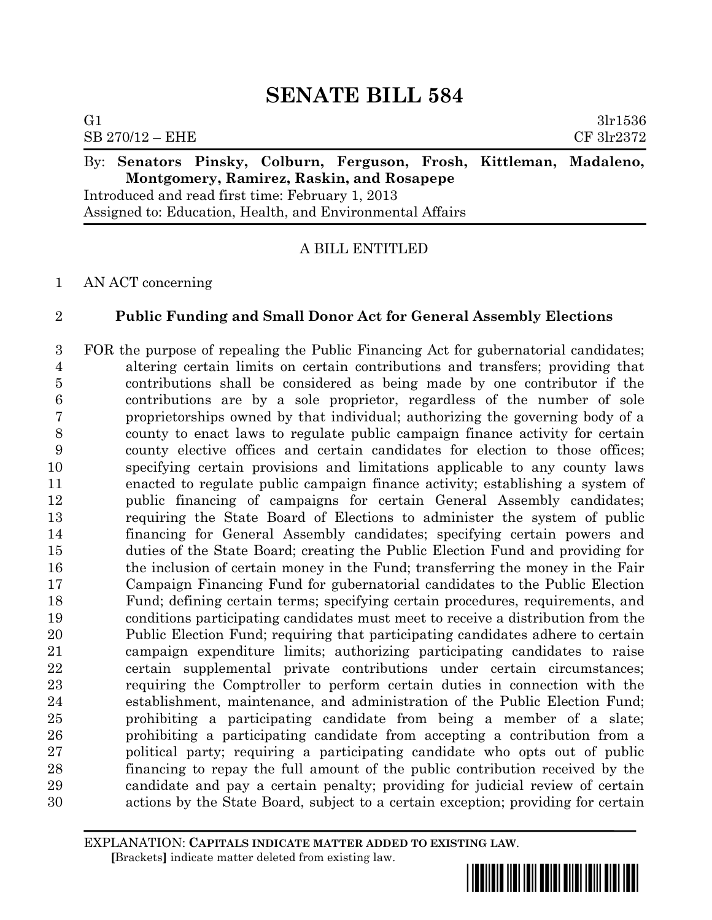| G1                                        |                                                  |  |  |  |  |                                                                     | 3lr1536    |
|-------------------------------------------|--------------------------------------------------|--|--|--|--|---------------------------------------------------------------------|------------|
|                                           | $SB 270/12 - EHE$                                |  |  |  |  |                                                                     | CF 3lr2372 |
|                                           |                                                  |  |  |  |  | By: Senators Pinsky, Colburn, Ferguson, Frosh, Kittleman, Madaleno, |            |
| Montgomery, Ramirez, Raskin, and Rosapepe |                                                  |  |  |  |  |                                                                     |            |
|                                           | Introduced and read first time: February 1, 2013 |  |  |  |  |                                                                     |            |

Assigned to: Education, Health, and Environmental Affairs

## A BILL ENTITLED

## AN ACT concerning

# **Public Funding and Small Donor Act for General Assembly Elections**

 FOR the purpose of repealing the Public Financing Act for gubernatorial candidates; altering certain limits on certain contributions and transfers; providing that contributions shall be considered as being made by one contributor if the contributions are by a sole proprietor, regardless of the number of sole proprietorships owned by that individual; authorizing the governing body of a county to enact laws to regulate public campaign finance activity for certain county elective offices and certain candidates for election to those offices; specifying certain provisions and limitations applicable to any county laws enacted to regulate public campaign finance activity; establishing a system of public financing of campaigns for certain General Assembly candidates; requiring the State Board of Elections to administer the system of public financing for General Assembly candidates; specifying certain powers and duties of the State Board; creating the Public Election Fund and providing for 16 the inclusion of certain money in the Fund; transferring the money in the Fair Campaign Financing Fund for gubernatorial candidates to the Public Election Fund; defining certain terms; specifying certain procedures, requirements, and conditions participating candidates must meet to receive a distribution from the Public Election Fund; requiring that participating candidates adhere to certain campaign expenditure limits; authorizing participating candidates to raise certain supplemental private contributions under certain circumstances; requiring the Comptroller to perform certain duties in connection with the establishment, maintenance, and administration of the Public Election Fund; prohibiting a participating candidate from being a member of a slate; prohibiting a participating candidate from accepting a contribution from a political party; requiring a participating candidate who opts out of public financing to repay the full amount of the public contribution received by the candidate and pay a certain penalty; providing for judicial review of certain actions by the State Board, subject to a certain exception; providing for certain

EXPLANATION: **CAPITALS INDICATE MATTER ADDED TO EXISTING LAW**.  **[**Brackets**]** indicate matter deleted from existing law.

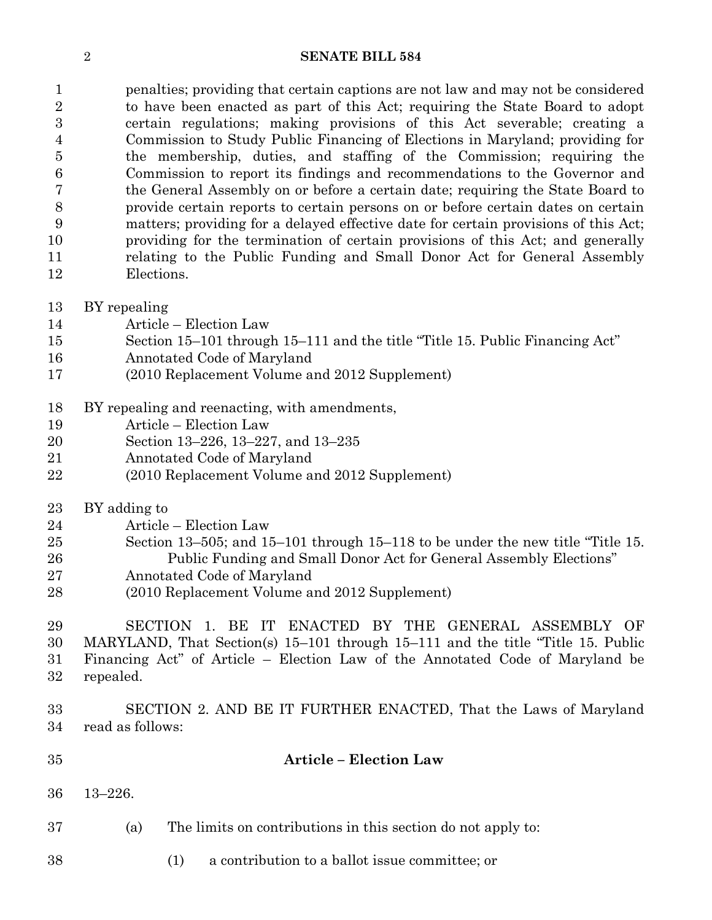penalties; providing that certain captions are not law and may not be considered to have been enacted as part of this Act; requiring the State Board to adopt certain regulations; making provisions of this Act severable; creating a Commission to Study Public Financing of Elections in Maryland; providing for the membership, duties, and staffing of the Commission; requiring the Commission to report its findings and recommendations to the Governor and the General Assembly on or before a certain date; requiring the State Board to provide certain reports to certain persons on or before certain dates on certain matters; providing for a delayed effective date for certain provisions of this Act; providing for the termination of certain provisions of this Act; and generally relating to the Public Funding and Small Donor Act for General Assembly Elections.

- BY repealing
- Article Election Law
- Section 15–101 through 15–111 and the title "Title 15. Public Financing Act"
- Annotated Code of Maryland
- (2010 Replacement Volume and 2012 Supplement)
- BY repealing and reenacting, with amendments,
- Article Election Law
- Section 13–226, 13–227, and 13–235
- Annotated Code of Maryland
- (2010 Replacement Volume and 2012 Supplement)
- BY adding to
- Article Election Law
- Section 13–505; and 15–101 through 15–118 to be under the new title "Title 15. Public Funding and Small Donor Act for General Assembly Elections"
- Annotated Code of Maryland
- (2010 Replacement Volume and 2012 Supplement)

 SECTION 1. BE IT ENACTED BY THE GENERAL ASSEMBLY OF MARYLAND, That Section(s) 15–101 through 15–111 and the title "Title 15. Public Financing Act" of Article – Election Law of the Annotated Code of Maryland be repealed.

 SECTION 2. AND BE IT FURTHER ENACTED, That the Laws of Maryland read as follows:

# **Article – Election Law**

- 13–226.
- (a) The limits on contributions in this section do not apply to:
- (1) a contribution to a ballot issue committee; or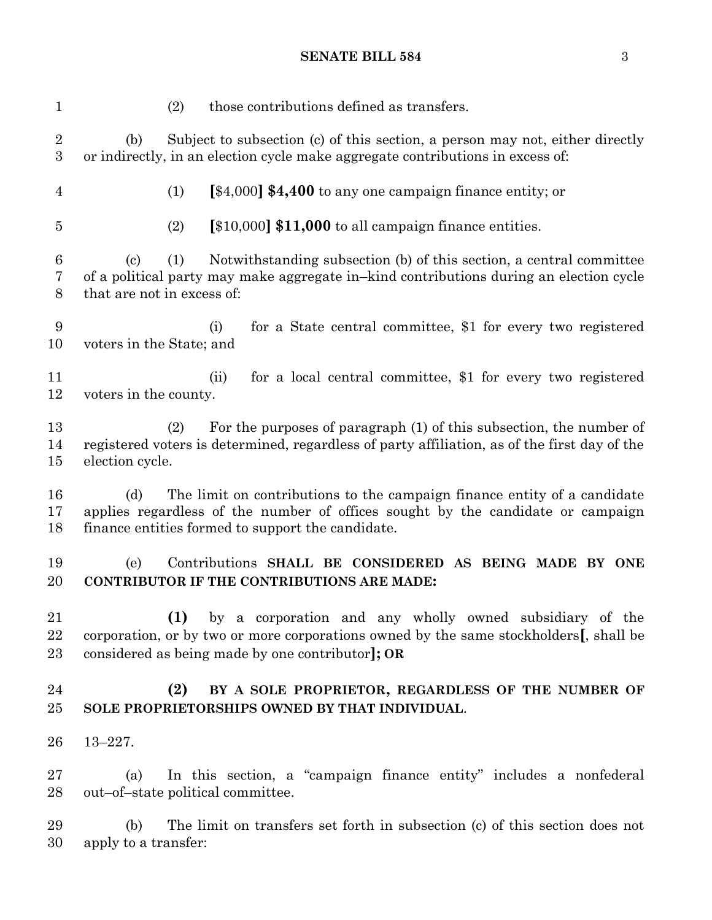| $\mathbf 1$         |                                   | (2) | those contributions defined as transfers.                                                                                                                                                                        |
|---------------------|-----------------------------------|-----|------------------------------------------------------------------------------------------------------------------------------------------------------------------------------------------------------------------|
| $\overline{2}$<br>3 | (b)                               |     | Subject to subsection (c) of this section, a person may not, either directly<br>or indirectly, in an election cycle make aggregate contributions in excess of:                                                   |
| 4                   |                                   | (1) | [\$4,000] \$4,400 to any one campaign finance entity; or                                                                                                                                                         |
| $\overline{5}$      |                                   | (2) | $[\$10,000]$ \$11,000 to all campaign finance entities.                                                                                                                                                          |
| 6<br>7<br>8         | (c)<br>that are not in excess of: | (1) | Notwithstanding subsection (b) of this section, a central committee<br>of a political party may make aggregate in–kind contributions during an election cycle                                                    |
| 9<br>10             | voters in the State; and          |     | for a State central committee, \$1 for every two registered<br>(i)                                                                                                                                               |
| 11<br>12            | voters in the county.             |     | for a local central committee, \$1 for every two registered<br>(ii)                                                                                                                                              |
| 13<br>14<br>15      | election cycle.                   | (2) | For the purposes of paragraph (1) of this subsection, the number of<br>registered voters is determined, regardless of party affiliation, as of the first day of the                                              |
| 16<br>17<br>18      | (d)                               |     | The limit on contributions to the campaign finance entity of a candidate<br>applies regardless of the number of offices sought by the candidate or campaign<br>finance entities formed to support the candidate. |
| 19<br>20            | (e)                               |     | Contributions SHALL BE CONSIDERED AS BEING MADE BY ONE<br><b>CONTRIBUTOR IF THE CONTRIBUTIONS ARE MADE:</b>                                                                                                      |
| 21<br>22<br>23      |                                   | (1) | by a corporation and any wholly owned subsidiary of the<br>corporation, or by two or more corporations owned by the same stockholders[, shall be<br>considered as being made by one contributor]; OR             |
| 24<br>25            |                                   | (2) | BY A SOLE PROPRIETOR, REGARDLESS OF THE NUMBER OF<br>SOLE PROPRIETORSHIPS OWNED BY THAT INDIVIDUAL.                                                                                                              |
| 26                  | $13 - 227.$                       |     |                                                                                                                                                                                                                  |
| 27<br>28            | (a)                               |     | In this section, a "campaign finance entity" includes a nonfederal<br>out-of-state political committee.                                                                                                          |
| 29<br>30            | (b)<br>apply to a transfer:       |     | The limit on transfers set forth in subsection (c) of this section does not                                                                                                                                      |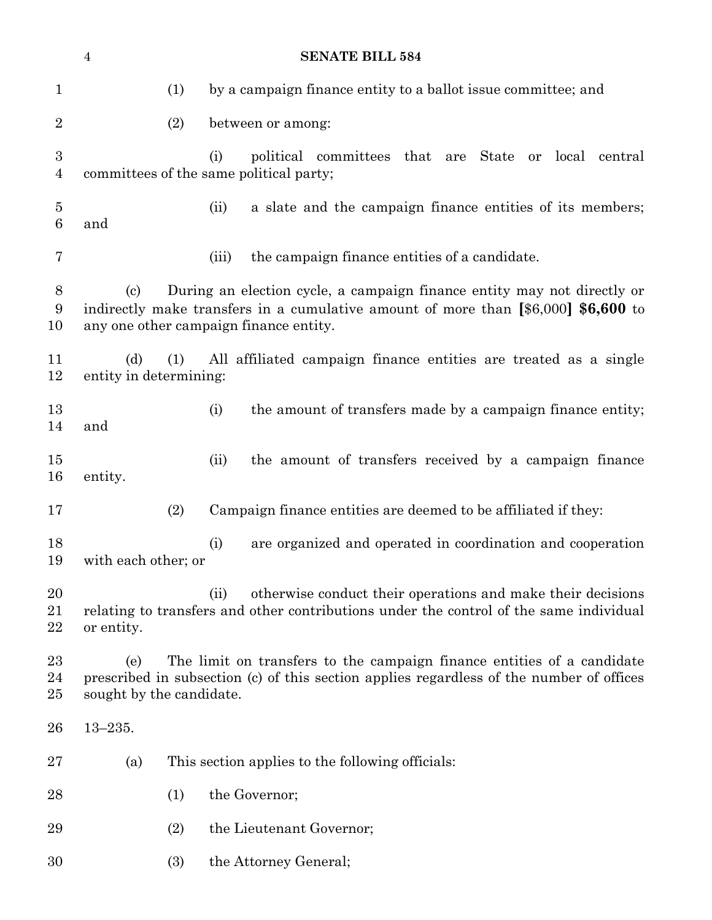|                                    | <b>SENATE BILL 584</b><br>$\overline{4}$                                                                                                                                                                       |                                                                                                              |  |  |  |
|------------------------------------|----------------------------------------------------------------------------------------------------------------------------------------------------------------------------------------------------------------|--------------------------------------------------------------------------------------------------------------|--|--|--|
| $\mathbf{1}$                       | (1)                                                                                                                                                                                                            | by a campaign finance entity to a ballot issue committee; and                                                |  |  |  |
| $\overline{2}$                     | (2)                                                                                                                                                                                                            | between or among:                                                                                            |  |  |  |
| $\boldsymbol{3}$<br>$\overline{4}$ |                                                                                                                                                                                                                | (i)<br>political committees that are<br>State or<br>local central<br>committees of the same political party; |  |  |  |
| $\overline{5}$<br>6                | and                                                                                                                                                                                                            | (ii)<br>a slate and the campaign finance entities of its members;                                            |  |  |  |
| 7                                  |                                                                                                                                                                                                                | the campaign finance entities of a candidate.<br>(iii)                                                       |  |  |  |
| $8\,$<br>$\boldsymbol{9}$<br>10    | During an election cycle, a campaign finance entity may not directly or<br>(c)<br>indirectly make transfers in a cumulative amount of more than [\$6,000] \$6,600 to<br>any one other campaign finance entity. |                                                                                                              |  |  |  |
| 11<br>12                           | All affiliated campaign finance entities are treated as a single<br>(d)<br>(1)<br>entity in determining:                                                                                                       |                                                                                                              |  |  |  |
| 13<br>14                           | and                                                                                                                                                                                                            | (i)<br>the amount of transfers made by a campaign finance entity;                                            |  |  |  |
| 15<br>16                           | entity.                                                                                                                                                                                                        | (ii)<br>the amount of transfers received by a campaign finance                                               |  |  |  |
| 17                                 | (2)                                                                                                                                                                                                            | Campaign finance entities are deemed to be affiliated if they:                                               |  |  |  |
| 18<br>19                           |                                                                                                                                                                                                                | (i)<br>are organized and operated in coordination and cooperation<br>with each other; or                     |  |  |  |
| 20<br>21<br>22                     | otherwise conduct their operations and make their decisions<br>(ii)<br>relating to transfers and other contributions under the control of the same individual<br>or entity.                                    |                                                                                                              |  |  |  |
| 23<br>24<br>25                     | The limit on transfers to the campaign finance entities of a candidate<br>(e)<br>prescribed in subsection (c) of this section applies regardless of the number of offices<br>sought by the candidate.          |                                                                                                              |  |  |  |
| 26                                 | $13 - 235.$                                                                                                                                                                                                    |                                                                                                              |  |  |  |
| 27                                 | (a)                                                                                                                                                                                                            | This section applies to the following officials:                                                             |  |  |  |
| 28                                 | (1)                                                                                                                                                                                                            | the Governor;                                                                                                |  |  |  |
| 29                                 | (2)                                                                                                                                                                                                            | the Lieutenant Governor;                                                                                     |  |  |  |
| 30                                 | (3)                                                                                                                                                                                                            | the Attorney General;                                                                                        |  |  |  |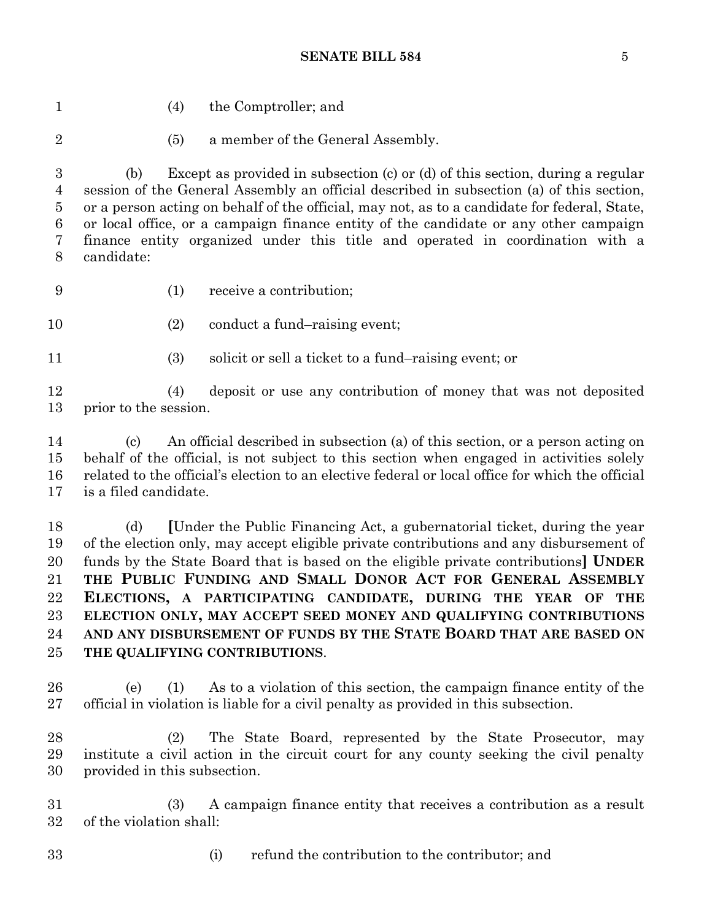(4) the Comptroller; and (5) a member of the General Assembly. (b) Except as provided in subsection (c) or (d) of this section, during a regular session of the General Assembly an official described in subsection (a) of this section, or a person acting on behalf of the official, may not, as to a candidate for federal, State, or local office, or a campaign finance entity of the candidate or any other campaign finance entity organized under this title and operated in coordination with a candidate: (1) receive a contribution; 10 (2) conduct a fund–raising event; (3) solicit or sell a ticket to a fund–raising event; or (4) deposit or use any contribution of money that was not deposited prior to the session. (c) An official described in subsection (a) of this section, or a person acting on behalf of the official, is not subject to this section when engaged in activities solely related to the official's election to an elective federal or local office for which the official is a filed candidate. (d) **[**Under the Public Financing Act, a gubernatorial ticket, during the year

 of the election only, may accept eligible private contributions and any disbursement of funds by the State Board that is based on the eligible private contributions**] UNDER THE PUBLIC FUNDING AND SMALL DONOR ACT FOR GENERAL ASSEMBLY ELECTIONS, A PARTICIPATING CANDIDATE, DURING THE YEAR OF THE ELECTION ONLY, MAY ACCEPT SEED MONEY AND QUALIFYING CONTRIBUTIONS AND ANY DISBURSEMENT OF FUNDS BY THE STATE BOARD THAT ARE BASED ON THE QUALIFYING CONTRIBUTIONS**.

 (e) (1) As to a violation of this section, the campaign finance entity of the official in violation is liable for a civil penalty as provided in this subsection.

 (2) The State Board, represented by the State Prosecutor, may institute a civil action in the circuit court for any county seeking the civil penalty provided in this subsection.

 (3) A campaign finance entity that receives a contribution as a result of the violation shall:

(i) refund the contribution to the contributor; and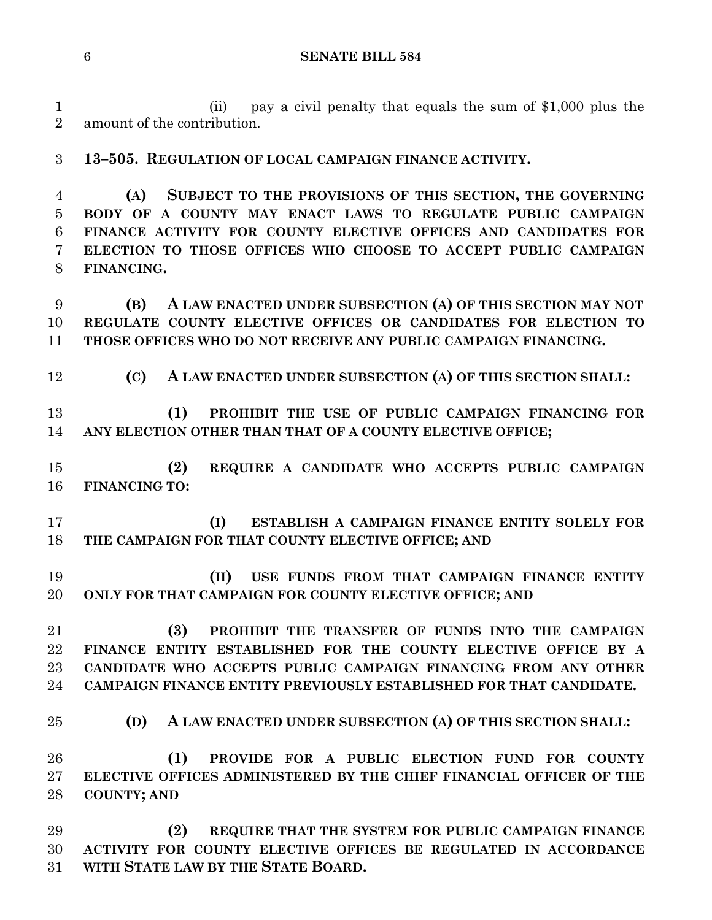(ii) pay a civil penalty that equals the sum of \$1,000 plus the amount of the contribution.

**13–505. REGULATION OF LOCAL CAMPAIGN FINANCE ACTIVITY.**

 **(A) SUBJECT TO THE PROVISIONS OF THIS SECTION, THE GOVERNING BODY OF A COUNTY MAY ENACT LAWS TO REGULATE PUBLIC CAMPAIGN FINANCE ACTIVITY FOR COUNTY ELECTIVE OFFICES AND CANDIDATES FOR ELECTION TO THOSE OFFICES WHO CHOOSE TO ACCEPT PUBLIC CAMPAIGN FINANCING.**

 **(B) A LAW ENACTED UNDER SUBSECTION (A) OF THIS SECTION MAY NOT REGULATE COUNTY ELECTIVE OFFICES OR CANDIDATES FOR ELECTION TO THOSE OFFICES WHO DO NOT RECEIVE ANY PUBLIC CAMPAIGN FINANCING.**

**(C) A LAW ENACTED UNDER SUBSECTION (A) OF THIS SECTION SHALL:**

 **(1) PROHIBIT THE USE OF PUBLIC CAMPAIGN FINANCING FOR ANY ELECTION OTHER THAN THAT OF A COUNTY ELECTIVE OFFICE;**

 **(2) REQUIRE A CANDIDATE WHO ACCEPTS PUBLIC CAMPAIGN FINANCING TO:**

 **(I) ESTABLISH A CAMPAIGN FINANCE ENTITY SOLELY FOR THE CAMPAIGN FOR THAT COUNTY ELECTIVE OFFICE; AND**

 **(II) USE FUNDS FROM THAT CAMPAIGN FINANCE ENTITY ONLY FOR THAT CAMPAIGN FOR COUNTY ELECTIVE OFFICE; AND**

 **(3) PROHIBIT THE TRANSFER OF FUNDS INTO THE CAMPAIGN FINANCE ENTITY ESTABLISHED FOR THE COUNTY ELECTIVE OFFICE BY A CANDIDATE WHO ACCEPTS PUBLIC CAMPAIGN FINANCING FROM ANY OTHER CAMPAIGN FINANCE ENTITY PREVIOUSLY ESTABLISHED FOR THAT CANDIDATE.**

**(D) A LAW ENACTED UNDER SUBSECTION (A) OF THIS SECTION SHALL:**

 **(1) PROVIDE FOR A PUBLIC ELECTION FUND FOR COUNTY ELECTIVE OFFICES ADMINISTERED BY THE CHIEF FINANCIAL OFFICER OF THE COUNTY; AND**

 **(2) REQUIRE THAT THE SYSTEM FOR PUBLIC CAMPAIGN FINANCE ACTIVITY FOR COUNTY ELECTIVE OFFICES BE REGULATED IN ACCORDANCE WITH STATE LAW BY THE STATE BOARD.**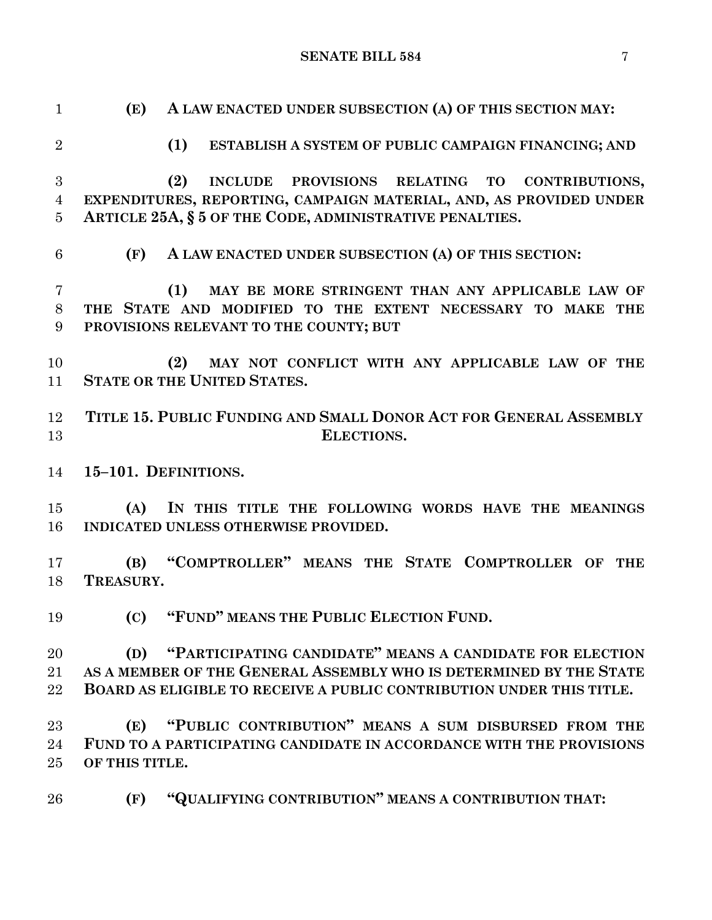| $\mathbf{1}$   | A LAW ENACTED UNDER SUBSECTION (A) OF THIS SECTION MAY:<br>(E)       |
|----------------|----------------------------------------------------------------------|
| $\overline{2}$ | (1)<br>ESTABLISH A SYSTEM OF PUBLIC CAMPAIGN FINANCING; AND          |
| 3              | (2)<br>INCLUDE PROVISIONS RELATING TO<br>CONTRIBUTIONS,              |
| $\overline{4}$ | EXPENDITURES, REPORTING, CAMPAIGN MATERIAL, AND, AS PROVIDED UNDER   |
| $\overline{5}$ | ARTICLE 25A, § 5 OF THE CODE, ADMINISTRATIVE PENALTIES.              |
| 6              | (F)<br>A LAW ENACTED UNDER SUBSECTION (A) OF THIS SECTION:           |
| $\overline{7}$ | MAY BE MORE STRINGENT THAN ANY APPLICABLE LAW OF<br>(1)              |
| 8              | THE STATE AND MODIFIED TO THE EXTENT NECESSARY TO MAKE THE           |
| 9              | PROVISIONS RELEVANT TO THE COUNTY; BUT                               |
| 10             | MAY NOT CONFLICT WITH ANY APPLICABLE LAW OF THE<br>(2)               |
| 11             | <b>STATE OR THE UNITED STATES.</b>                                   |
|                |                                                                      |
| 12             | TITLE 15. PUBLIC FUNDING AND SMALL DONOR ACT FOR GENERAL ASSEMBLY    |
| 13             | ELECTIONS.                                                           |
|                |                                                                      |
| 14             | 15-101. DEFINITIONS.                                                 |
| 15             | IN THIS TITLE THE FOLLOWING WORDS HAVE THE MEANINGS<br>(A)           |
| 16             | INDICATED UNLESS OTHERWISE PROVIDED.                                 |
|                |                                                                      |
| 17             | "COMPTROLLER" MEANS THE STATE COMPTROLLER OF THE<br>(B)              |
| 18             | TREASURY.                                                            |
|                |                                                                      |
| 19             | "FUND" MEANS THE PUBLIC ELECTION FUND.<br>(C)                        |
|                |                                                                      |
| 20             | "PARTICIPATING CANDIDATE" MEANS A CANDIDATE FOR ELECTION<br>(D)      |
| 21             | AS A MEMBER OF THE GENERAL ASSEMBLY WHO IS DETERMINED BY THE STATE   |
| 22             |                                                                      |
|                | BOARD AS ELIGIBLE TO RECEIVE A PUBLIC CONTRIBUTION UNDER THIS TITLE. |
| 23             | "PUBLIC CONTRIBUTION" MEANS A SUM DISBURSED FROM THE<br>(E)          |
| 24             | FUND TO A PARTICIPATING CANDIDATE IN ACCORDANCE WITH THE PROVISIONS  |
|                |                                                                      |
| 25             | OF THIS TITLE.                                                       |
| 26             | "QUALIFYING CONTRIBUTION" MEANS A CONTRIBUTION THAT:<br>(F)          |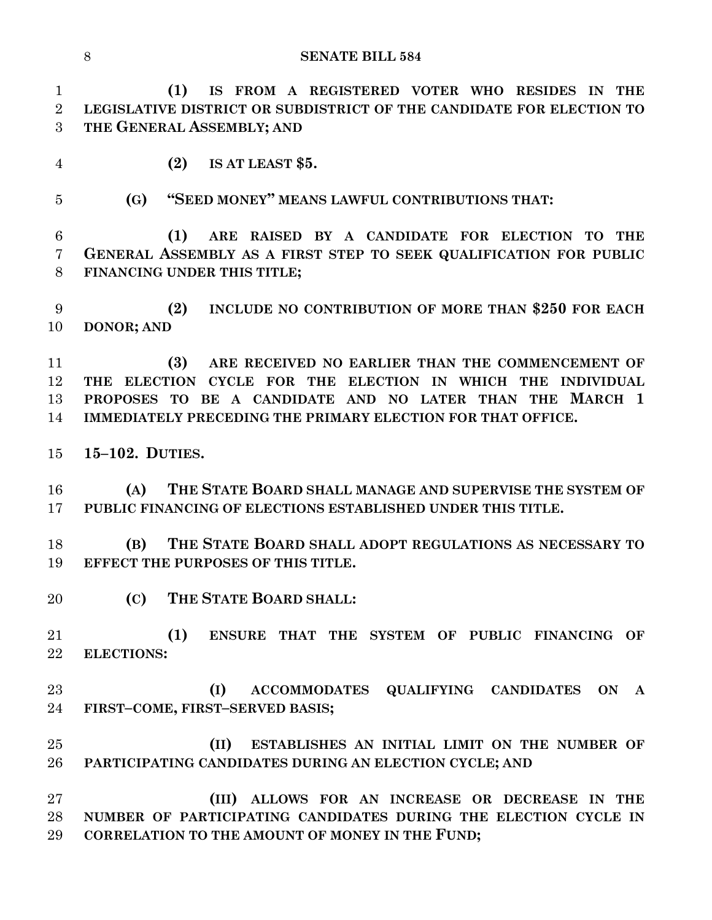**(1) IS FROM A REGISTERED VOTER WHO RESIDES IN THE LEGISLATIVE DISTRICT OR SUBDISTRICT OF THE CANDIDATE FOR ELECTION TO THE GENERAL ASSEMBLY; AND** 

**(2) IS AT LEAST \$5.**

**(G) "SEED MONEY" MEANS LAWFUL CONTRIBUTIONS THAT:**

 **(1) ARE RAISED BY A CANDIDATE FOR ELECTION TO THE GENERAL ASSEMBLY AS A FIRST STEP TO SEEK QUALIFICATION FOR PUBLIC FINANCING UNDER THIS TITLE;**

 **(2) INCLUDE NO CONTRIBUTION OF MORE THAN \$250 FOR EACH DONOR; AND**

 **(3) ARE RECEIVED NO EARLIER THAN THE COMMENCEMENT OF THE ELECTION CYCLE FOR THE ELECTION IN WHICH THE INDIVIDUAL PROPOSES TO BE A CANDIDATE AND NO LATER THAN THE MARCH 1 IMMEDIATELY PRECEDING THE PRIMARY ELECTION FOR THAT OFFICE.**

**15–102. DUTIES.**

 **(A) THE STATE BOARD SHALL MANAGE AND SUPERVISE THE SYSTEM OF PUBLIC FINANCING OF ELECTIONS ESTABLISHED UNDER THIS TITLE.**

 **(B) THE STATE BOARD SHALL ADOPT REGULATIONS AS NECESSARY TO EFFECT THE PURPOSES OF THIS TITLE.**

**(C) THE STATE BOARD SHALL:**

 **(1) ENSURE THAT THE SYSTEM OF PUBLIC FINANCING OF ELECTIONS:**

 **(I) ACCOMMODATES QUALIFYING CANDIDATES ON A FIRST–COME, FIRST–SERVED BASIS;**

 **(II) ESTABLISHES AN INITIAL LIMIT ON THE NUMBER OF PARTICIPATING CANDIDATES DURING AN ELECTION CYCLE; AND**

 **(III) ALLOWS FOR AN INCREASE OR DECREASE IN THE NUMBER OF PARTICIPATING CANDIDATES DURING THE ELECTION CYCLE IN CORRELATION TO THE AMOUNT OF MONEY IN THE FUND;**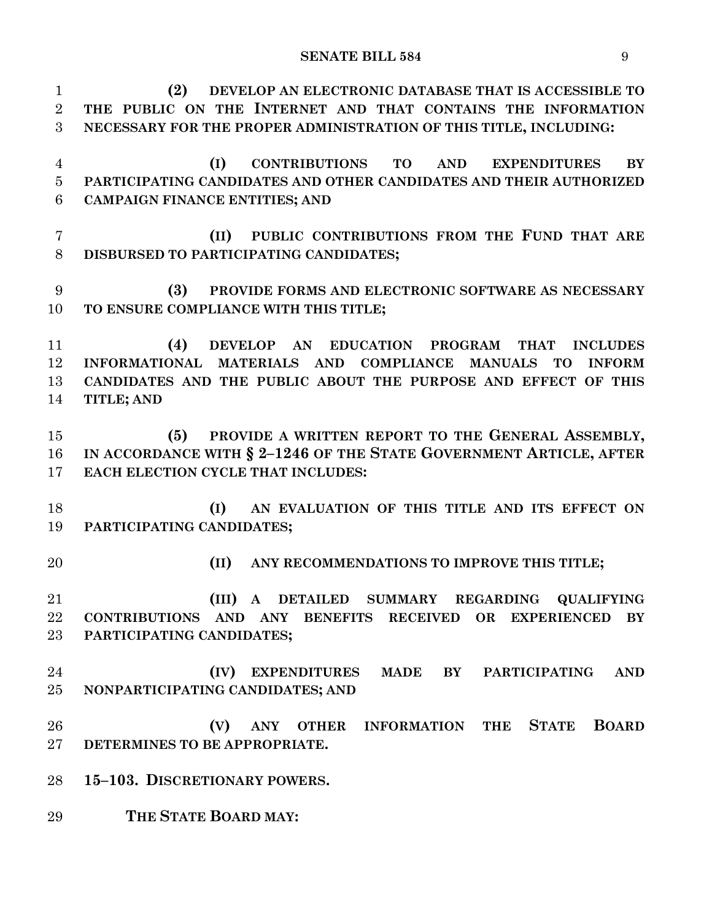**(2) DEVELOP AN ELECTRONIC DATABASE THAT IS ACCESSIBLE TO THE PUBLIC ON THE INTERNET AND THAT CONTAINS THE INFORMATION NECESSARY FOR THE PROPER ADMINISTRATION OF THIS TITLE, INCLUDING: (I) CONTRIBUTIONS TO AND EXPENDITURES BY PARTICIPATING CANDIDATES AND OTHER CANDIDATES AND THEIR AUTHORIZED CAMPAIGN FINANCE ENTITIES; AND (II) PUBLIC CONTRIBUTIONS FROM THE FUND THAT ARE DISBURSED TO PARTICIPATING CANDIDATES; (3) PROVIDE FORMS AND ELECTRONIC SOFTWARE AS NECESSARY TO ENSURE COMPLIANCE WITH THIS TITLE; (4) DEVELOP AN EDUCATION PROGRAM THAT INCLUDES INFORMATIONAL MATERIALS AND COMPLIANCE MANUALS TO INFORM CANDIDATES AND THE PUBLIC ABOUT THE PURPOSE AND EFFECT OF THIS TITLE; AND (5) PROVIDE A WRITTEN REPORT TO THE GENERAL ASSEMBLY, IN ACCORDANCE WITH § 2–1246 OF THE STATE GOVERNMENT ARTICLE, AFTER EACH ELECTION CYCLE THAT INCLUDES: (I) AN EVALUATION OF THIS TITLE AND ITS EFFECT ON PARTICIPATING CANDIDATES; (II) ANY RECOMMENDATIONS TO IMPROVE THIS TITLE; (III) A DETAILED SUMMARY REGARDING QUALIFYING CONTRIBUTIONS AND ANY BENEFITS RECEIVED OR EXPERIENCED BY PARTICIPATING CANDIDATES; (IV) EXPENDITURES MADE BY PARTICIPATING AND NONPARTICIPATING CANDIDATES; AND (V) ANY OTHER INFORMATION THE STATE BOARD DETERMINES TO BE APPROPRIATE. 15–103. DISCRETIONARY POWERS. THE STATE BOARD MAY:**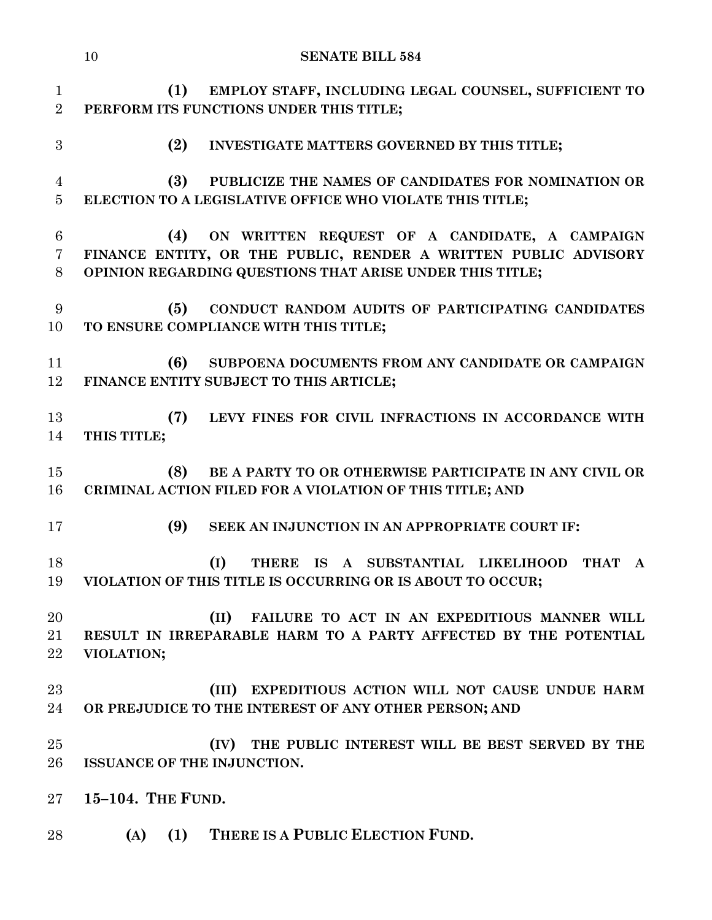|                                        | 10<br><b>SENATE BILL 584</b>                                                                                                                                                        |
|----------------------------------------|-------------------------------------------------------------------------------------------------------------------------------------------------------------------------------------|
| $\mathbf{1}$<br>$\overline{2}$         | (1)<br>EMPLOY STAFF, INCLUDING LEGAL COUNSEL, SUFFICIENT TO<br>PERFORM ITS FUNCTIONS UNDER THIS TITLE;                                                                              |
| 3                                      | (2)<br>INVESTIGATE MATTERS GOVERNED BY THIS TITLE;                                                                                                                                  |
| $\overline{4}$<br>$\overline{5}$       | (3)<br>PUBLICIZE THE NAMES OF CANDIDATES FOR NOMINATION OR<br>ELECTION TO A LEGISLATIVE OFFICE WHO VIOLATE THIS TITLE;                                                              |
| $6\phantom{.}6$<br>$\overline{7}$<br>8 | ON WRITTEN REQUEST OF A CANDIDATE, A CAMPAIGN<br>(4)<br>FINANCE ENTITY, OR THE PUBLIC, RENDER A WRITTEN PUBLIC ADVISORY<br>OPINION REGARDING QUESTIONS THAT ARISE UNDER THIS TITLE; |
| 9<br>10                                | CONDUCT RANDOM AUDITS OF PARTICIPATING CANDIDATES<br>(5)<br>TO ENSURE COMPLIANCE WITH THIS TITLE;                                                                                   |
| 11<br>12                               | (6)<br>SUBPOENA DOCUMENTS FROM ANY CANDIDATE OR CAMPAIGN<br>FINANCE ENTITY SUBJECT TO THIS ARTICLE;                                                                                 |
| 13<br>14                               | (7)<br>LEVY FINES FOR CIVIL INFRACTIONS IN ACCORDANCE WITH<br>THIS TITLE;                                                                                                           |
| 15<br>16                               | (8)<br>BE A PARTY TO OR OTHERWISE PARTICIPATE IN ANY CIVIL OR<br>CRIMINAL ACTION FILED FOR A VIOLATION OF THIS TITLE; AND                                                           |
| 17                                     | (9)<br>SEEK AN INJUNCTION IN AN APPROPRIATE COURT IF:                                                                                                                               |
| 18<br>19                               | (I)<br>THERE IS A SUBSTANTIAL LIKELIHOOD<br><b>THAT</b><br>A<br>VIOLATION OF THIS TITLE IS OCCURRING OR IS ABOUT TO OCCUR;                                                          |
| 20<br>21<br>22                         | (II)<br>FAILURE TO ACT IN AN EXPEDITIOUS MANNER WILL<br>RESULT IN IRREPARABLE HARM TO A PARTY AFFECTED BY THE POTENTIAL<br>VIOLATION;                                               |
| 23<br>24                               | (III) EXPEDITIOUS ACTION WILL NOT CAUSE UNDUE HARM<br>OR PREJUDICE TO THE INTEREST OF ANY OTHER PERSON; AND                                                                         |
| 25<br>26                               | (IV) THE PUBLIC INTEREST WILL BE BEST SERVED BY THE<br>ISSUANCE OF THE INJUNCTION.                                                                                                  |
| $27\,$                                 | 15-104. THE FUND.                                                                                                                                                                   |
| 28                                     | THERE IS A PUBLIC ELECTION FUND.<br>$(A)$ $(1)$                                                                                                                                     |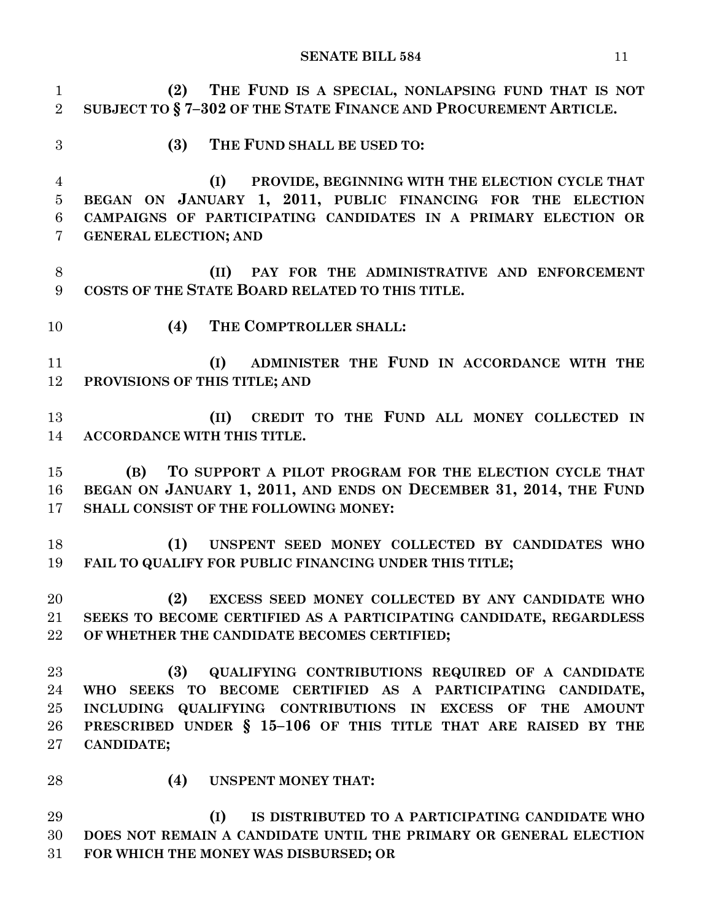**(2) THE FUND IS A SPECIAL, NONLAPSING FUND THAT IS NOT SUBJECT TO § 7–302 OF THE STATE FINANCE AND PROCUREMENT ARTICLE. (3) THE FUND SHALL BE USED TO: (I) PROVIDE, BEGINNING WITH THE ELECTION CYCLE THAT BEGAN ON JANUARY 1, 2011, PUBLIC FINANCING FOR THE ELECTION CAMPAIGNS OF PARTICIPATING CANDIDATES IN A PRIMARY ELECTION OR GENERAL ELECTION; AND (II) PAY FOR THE ADMINISTRATIVE AND ENFORCEMENT COSTS OF THE STATE BOARD RELATED TO THIS TITLE. (4) THE COMPTROLLER SHALL: (I) ADMINISTER THE FUND IN ACCORDANCE WITH THE PROVISIONS OF THIS TITLE; AND (II) CREDIT TO THE FUND ALL MONEY COLLECTED IN ACCORDANCE WITH THIS TITLE. (B) TO SUPPORT A PILOT PROGRAM FOR THE ELECTION CYCLE THAT BEGAN ON JANUARY 1, 2011, AND ENDS ON DECEMBER 31, 2014, THE FUND SHALL CONSIST OF THE FOLLOWING MONEY: (1) UNSPENT SEED MONEY COLLECTED BY CANDIDATES WHO FAIL TO QUALIFY FOR PUBLIC FINANCING UNDER THIS TITLE; (2) EXCESS SEED MONEY COLLECTED BY ANY CANDIDATE WHO SEEKS TO BECOME CERTIFIED AS A PARTICIPATING CANDIDATE, REGARDLESS OF WHETHER THE CANDIDATE BECOMES CERTIFIED; (3) QUALIFYING CONTRIBUTIONS REQUIRED OF A CANDIDATE WHO SEEKS TO BECOME CERTIFIED AS A PARTICIPATING CANDIDATE, INCLUDING QUALIFYING CONTRIBUTIONS IN EXCESS OF THE AMOUNT PRESCRIBED UNDER § 15–106 OF THIS TITLE THAT ARE RAISED BY THE CANDIDATE; (4) UNSPENT MONEY THAT: (I) IS DISTRIBUTED TO A PARTICIPATING CANDIDATE WHO DOES NOT REMAIN A CANDIDATE UNTIL THE PRIMARY OR GENERAL ELECTION FOR WHICH THE MONEY WAS DISBURSED; OR**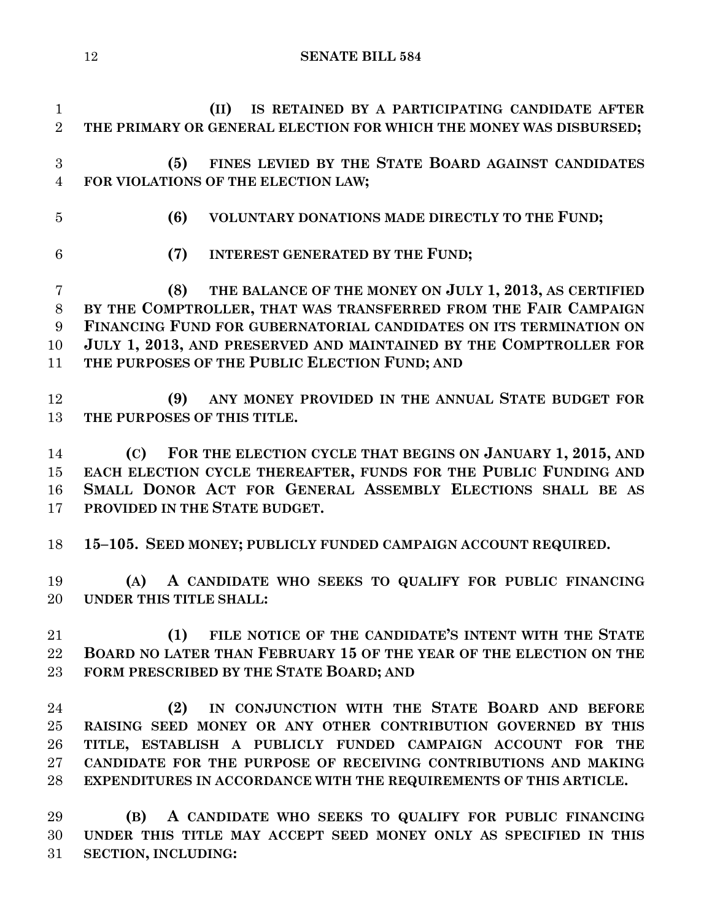**(II) IS RETAINED BY A PARTICIPATING CANDIDATE AFTER THE PRIMARY OR GENERAL ELECTION FOR WHICH THE MONEY WAS DISBURSED; (5) FINES LEVIED BY THE STATE BOARD AGAINST CANDIDATES FOR VIOLATIONS OF THE ELECTION LAW; (6) VOLUNTARY DONATIONS MADE DIRECTLY TO THE FUND; (7) INTEREST GENERATED BY THE FUND; (8) THE BALANCE OF THE MONEY ON JULY 1, 2013, AS CERTIFIED BY THE COMPTROLLER, THAT WAS TRANSFERRED FROM THE FAIR CAMPAIGN FINANCING FUND FOR GUBERNATORIAL CANDIDATES ON ITS TERMINATION ON JULY 1, 2013, AND PRESERVED AND MAINTAINED BY THE COMPTROLLER FOR THE PURPOSES OF THE PUBLIC ELECTION FUND; AND (9) ANY MONEY PROVIDED IN THE ANNUAL STATE BUDGET FOR THE PURPOSES OF THIS TITLE. (C) FOR THE ELECTION CYCLE THAT BEGINS ON JANUARY 1, 2015, AND EACH ELECTION CYCLE THEREAFTER, FUNDS FOR THE PUBLIC FUNDING AND SMALL DONOR ACT FOR GENERAL ASSEMBLY ELECTIONS SHALL BE AS PROVIDED IN THE STATE BUDGET. 15–105. SEED MONEY; PUBLICLY FUNDED CAMPAIGN ACCOUNT REQUIRED. (A) A CANDIDATE WHO SEEKS TO QUALIFY FOR PUBLIC FINANCING UNDER THIS TITLE SHALL: (1) FILE NOTICE OF THE CANDIDATE'S INTENT WITH THE STATE BOARD NO LATER THAN FEBRUARY 15 OF THE YEAR OF THE ELECTION ON THE FORM PRESCRIBED BY THE STATE BOARD; AND (2) IN CONJUNCTION WITH THE STATE BOARD AND BEFORE RAISING SEED MONEY OR ANY OTHER CONTRIBUTION GOVERNED BY THIS TITLE, ESTABLISH A PUBLICLY FUNDED CAMPAIGN ACCOUNT FOR THE CANDIDATE FOR THE PURPOSE OF RECEIVING CONTRIBUTIONS AND MAKING EXPENDITURES IN ACCORDANCE WITH THE REQUIREMENTS OF THIS ARTICLE. (B) A CANDIDATE WHO SEEKS TO QUALIFY FOR PUBLIC FINANCING UNDER THIS TITLE MAY ACCEPT SEED MONEY ONLY AS SPECIFIED IN THIS SECTION, INCLUDING:**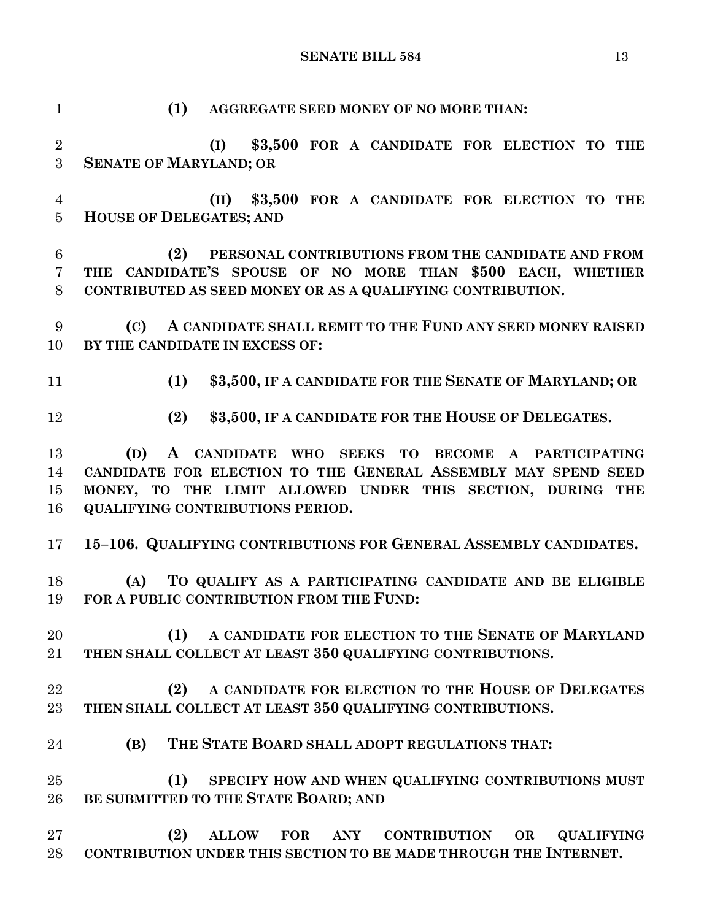**(1) AGGREGATE SEED MONEY OF NO MORE THAN: (I) \$3,500 FOR A CANDIDATE FOR ELECTION TO THE SENATE OF MARYLAND; OR (II) \$3,500 FOR A CANDIDATE FOR ELECTION TO THE HOUSE OF DELEGATES; AND (2) PERSONAL CONTRIBUTIONS FROM THE CANDIDATE AND FROM THE CANDIDATE'S SPOUSE OF NO MORE THAN \$500 EACH, WHETHER CONTRIBUTED AS SEED MONEY OR AS A QUALIFYING CONTRIBUTION. (C) A CANDIDATE SHALL REMIT TO THE FUND ANY SEED MONEY RAISED BY THE CANDIDATE IN EXCESS OF: (1) \$3,500, IF A CANDIDATE FOR THE SENATE OF MARYLAND; OR (2) \$3,500, IF A CANDIDATE FOR THE HOUSE OF DELEGATES. (D) A CANDIDATE WHO SEEKS TO BECOME A PARTICIPATING CANDIDATE FOR ELECTION TO THE GENERAL ASSEMBLY MAY SPEND SEED MONEY, TO THE LIMIT ALLOWED UNDER THIS SECTION, DURING THE QUALIFYING CONTRIBUTIONS PERIOD. 15–106. QUALIFYING CONTRIBUTIONS FOR GENERAL ASSEMBLY CANDIDATES. (A) TO QUALIFY AS A PARTICIPATING CANDIDATE AND BE ELIGIBLE FOR A PUBLIC CONTRIBUTION FROM THE FUND: (1) A CANDIDATE FOR ELECTION TO THE SENATE OF MARYLAND THEN SHALL COLLECT AT LEAST 350 QUALIFYING CONTRIBUTIONS. (2) A CANDIDATE FOR ELECTION TO THE HOUSE OF DELEGATES THEN SHALL COLLECT AT LEAST 350 QUALIFYING CONTRIBUTIONS. (B) THE STATE BOARD SHALL ADOPT REGULATIONS THAT: (1) SPECIFY HOW AND WHEN QUALIFYING CONTRIBUTIONS MUST BE SUBMITTED TO THE STATE BOARD; AND (2) ALLOW FOR ANY CONTRIBUTION OR QUALIFYING CONTRIBUTION UNDER THIS SECTION TO BE MADE THROUGH THE INTERNET.**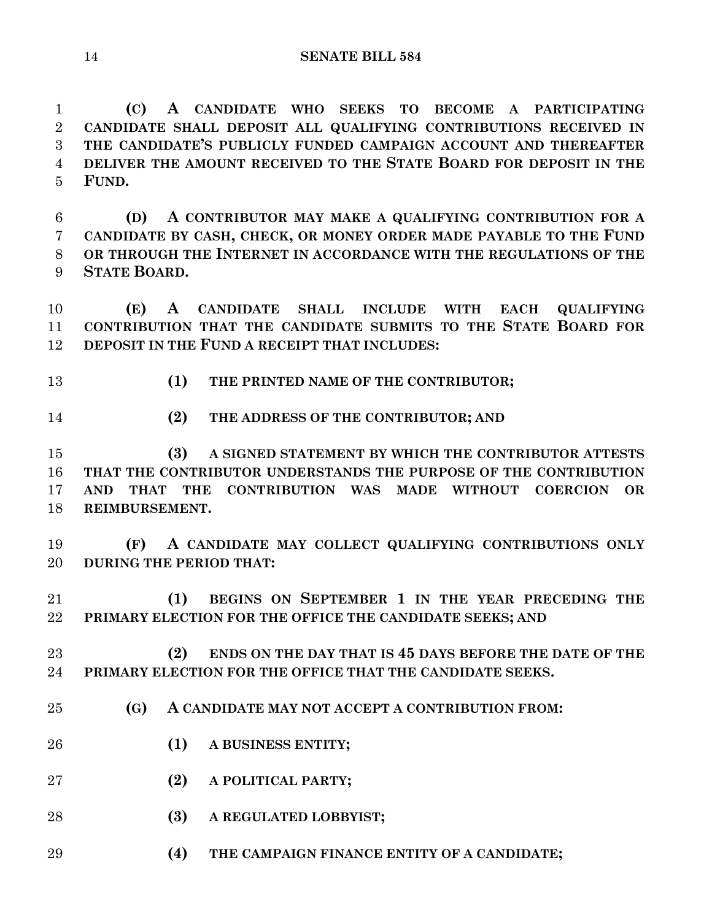**(C) A CANDIDATE WHO SEEKS TO BECOME A PARTICIPATING CANDIDATE SHALL DEPOSIT ALL QUALIFYING CONTRIBUTIONS RECEIVED IN THE CANDIDATE'S PUBLICLY FUNDED CAMPAIGN ACCOUNT AND THEREAFTER DELIVER THE AMOUNT RECEIVED TO THE STATE BOARD FOR DEPOSIT IN THE FUND.**

 **(D) A CONTRIBUTOR MAY MAKE A QUALIFYING CONTRIBUTION FOR A CANDIDATE BY CASH, CHECK, OR MONEY ORDER MADE PAYABLE TO THE FUND OR THROUGH THE INTERNET IN ACCORDANCE WITH THE REGULATIONS OF THE STATE BOARD.**

 **(E) A CANDIDATE SHALL INCLUDE WITH EACH QUALIFYING CONTRIBUTION THAT THE CANDIDATE SUBMITS TO THE STATE BOARD FOR DEPOSIT IN THE FUND A RECEIPT THAT INCLUDES:**

- 
- **(1) THE PRINTED NAME OF THE CONTRIBUTOR;**
- 
- **(2) THE ADDRESS OF THE CONTRIBUTOR; AND**

 **(3) A SIGNED STATEMENT BY WHICH THE CONTRIBUTOR ATTESTS THAT THE CONTRIBUTOR UNDERSTANDS THE PURPOSE OF THE CONTRIBUTION AND THAT THE CONTRIBUTION WAS MADE WITHOUT COERCION OR REIMBURSEMENT.**

 **(F) A CANDIDATE MAY COLLECT QUALIFYING CONTRIBUTIONS ONLY DURING THE PERIOD THAT:**

 **(1) BEGINS ON SEPTEMBER 1 IN THE YEAR PRECEDING THE PRIMARY ELECTION FOR THE OFFICE THE CANDIDATE SEEKS; AND**

 **(2) ENDS ON THE DAY THAT IS 45 DAYS BEFORE THE DATE OF THE PRIMARY ELECTION FOR THE OFFICE THAT THE CANDIDATE SEEKS.**

- **(G) A CANDIDATE MAY NOT ACCEPT A CONTRIBUTION FROM:**
- **(1) A BUSINESS ENTITY;**
- **(2) A POLITICAL PARTY;**
- **(3) A REGULATED LOBBYIST;**
- **(4) THE CAMPAIGN FINANCE ENTITY OF A CANDIDATE;**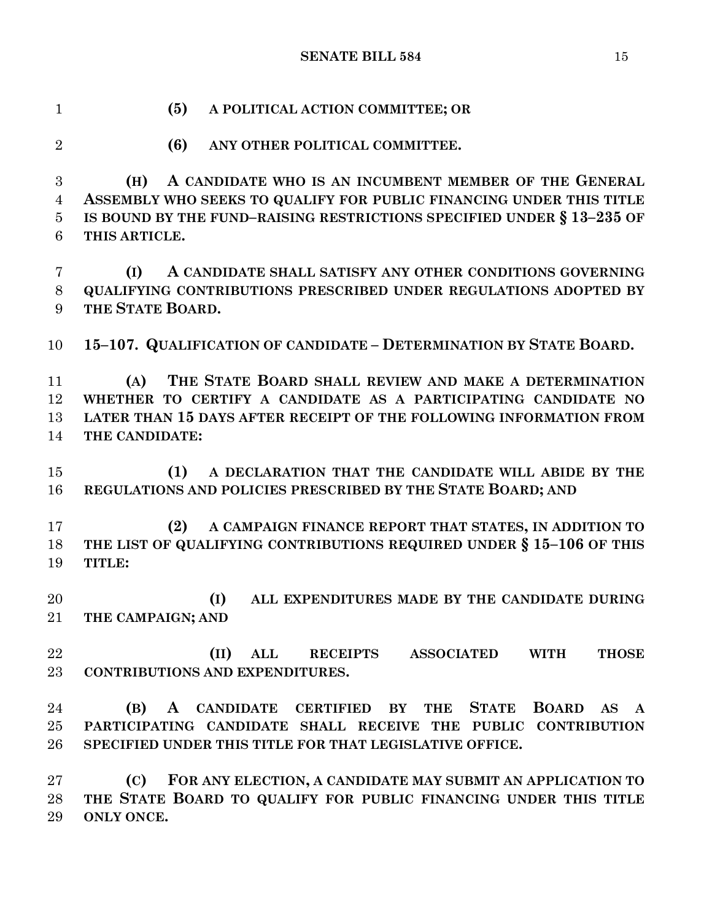**(5) A POLITICAL ACTION COMMITTEE; OR (6) ANY OTHER POLITICAL COMMITTEE. (H) A CANDIDATE WHO IS AN INCUMBENT MEMBER OF THE GENERAL ASSEMBLY WHO SEEKS TO QUALIFY FOR PUBLIC FINANCING UNDER THIS TITLE IS BOUND BY THE FUND–RAISING RESTRICTIONS SPECIFIED UNDER § 13–235 OF THIS ARTICLE. (I) A CANDIDATE SHALL SATISFY ANY OTHER CONDITIONS GOVERNING QUALIFYING CONTRIBUTIONS PRESCRIBED UNDER REGULATIONS ADOPTED BY THE STATE BOARD. 15–107. QUALIFICATION OF CANDIDATE – DETERMINATION BY STATE BOARD. (A) THE STATE BOARD SHALL REVIEW AND MAKE A DETERMINATION WHETHER TO CERTIFY A CANDIDATE AS A PARTICIPATING CANDIDATE NO LATER THAN 15 DAYS AFTER RECEIPT OF THE FOLLOWING INFORMATION FROM THE CANDIDATE: (1) A DECLARATION THAT THE CANDIDATE WILL ABIDE BY THE REGULATIONS AND POLICIES PRESCRIBED BY THE STATE BOARD; AND (2) A CAMPAIGN FINANCE REPORT THAT STATES, IN ADDITION TO THE LIST OF QUALIFYING CONTRIBUTIONS REQUIRED UNDER § 15–106 OF THIS TITLE: (I) ALL EXPENDITURES MADE BY THE CANDIDATE DURING THE CAMPAIGN; AND (II) ALL RECEIPTS ASSOCIATED WITH THOSE CONTRIBUTIONS AND EXPENDITURES. (B) A CANDIDATE CERTIFIED BY THE STATE BOARD AS A PARTICIPATING CANDIDATE SHALL RECEIVE THE PUBLIC CONTRIBUTION SPECIFIED UNDER THIS TITLE FOR THAT LEGISLATIVE OFFICE. (C) FOR ANY ELECTION, A CANDIDATE MAY SUBMIT AN APPLICATION TO THE STATE BOARD TO QUALIFY FOR PUBLIC FINANCING UNDER THIS TITLE** 

**ONLY ONCE.**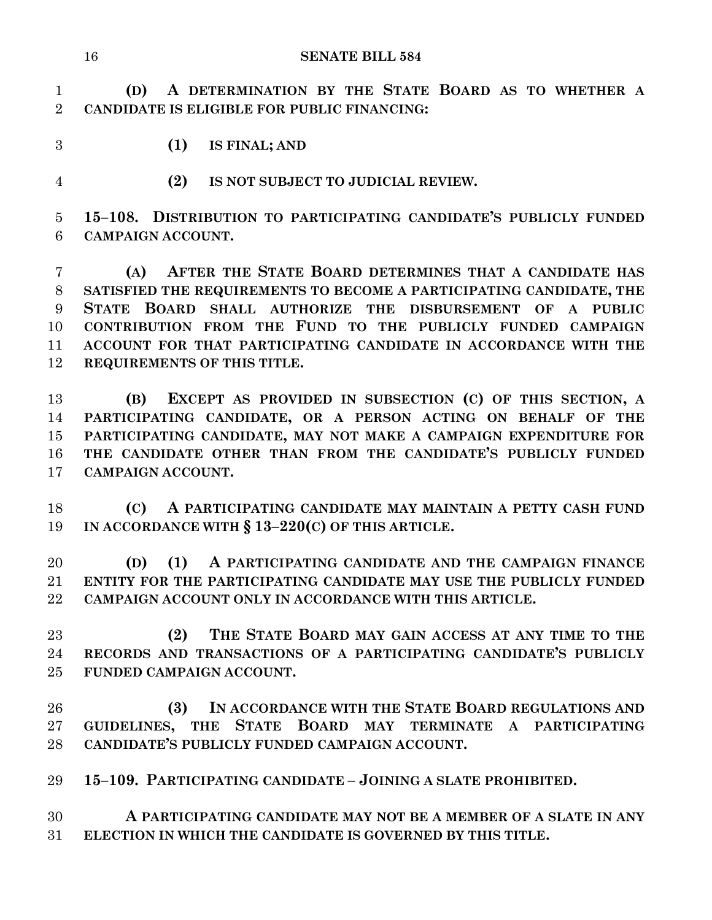**(D) A DETERMINATION BY THE STATE BOARD AS TO WHETHER A CANDIDATE IS ELIGIBLE FOR PUBLIC FINANCING:**

- **(1) IS FINAL; AND**
- **(2) IS NOT SUBJECT TO JUDICIAL REVIEW.**

 **15–108. DISTRIBUTION TO PARTICIPATING CANDIDATE'S PUBLICLY FUNDED CAMPAIGN ACCOUNT.**

 **(A) AFTER THE STATE BOARD DETERMINES THAT A CANDIDATE HAS SATISFIED THE REQUIREMENTS TO BECOME A PARTICIPATING CANDIDATE, THE STATE BOARD SHALL AUTHORIZE THE DISBURSEMENT OF A PUBLIC CONTRIBUTION FROM THE FUND TO THE PUBLICLY FUNDED CAMPAIGN ACCOUNT FOR THAT PARTICIPATING CANDIDATE IN ACCORDANCE WITH THE REQUIREMENTS OF THIS TITLE.**

 **(B) EXCEPT AS PROVIDED IN SUBSECTION (C) OF THIS SECTION, A PARTICIPATING CANDIDATE, OR A PERSON ACTING ON BEHALF OF THE PARTICIPATING CANDIDATE, MAY NOT MAKE A CAMPAIGN EXPENDITURE FOR THE CANDIDATE OTHER THAN FROM THE CANDIDATE'S PUBLICLY FUNDED CAMPAIGN ACCOUNT.**

 **(C) A PARTICIPATING CANDIDATE MAY MAINTAIN A PETTY CASH FUND IN ACCORDANCE WITH § 13–220(C) OF THIS ARTICLE.**

 **(D) (1) A PARTICIPATING CANDIDATE AND THE CAMPAIGN FINANCE ENTITY FOR THE PARTICIPATING CANDIDATE MAY USE THE PUBLICLY FUNDED CAMPAIGN ACCOUNT ONLY IN ACCORDANCE WITH THIS ARTICLE.**

 **(2) THE STATE BOARD MAY GAIN ACCESS AT ANY TIME TO THE RECORDS AND TRANSACTIONS OF A PARTICIPATING CANDIDATE'S PUBLICLY FUNDED CAMPAIGN ACCOUNT.**

 **(3) IN ACCORDANCE WITH THE STATE BOARD REGULATIONS AND GUIDELINES, THE STATE BOARD MAY TERMINATE A PARTICIPATING CANDIDATE'S PUBLICLY FUNDED CAMPAIGN ACCOUNT.**

**15–109. PARTICIPATING CANDIDATE – JOINING A SLATE PROHIBITED.**

 **A PARTICIPATING CANDIDATE MAY NOT BE A MEMBER OF A SLATE IN ANY ELECTION IN WHICH THE CANDIDATE IS GOVERNED BY THIS TITLE.**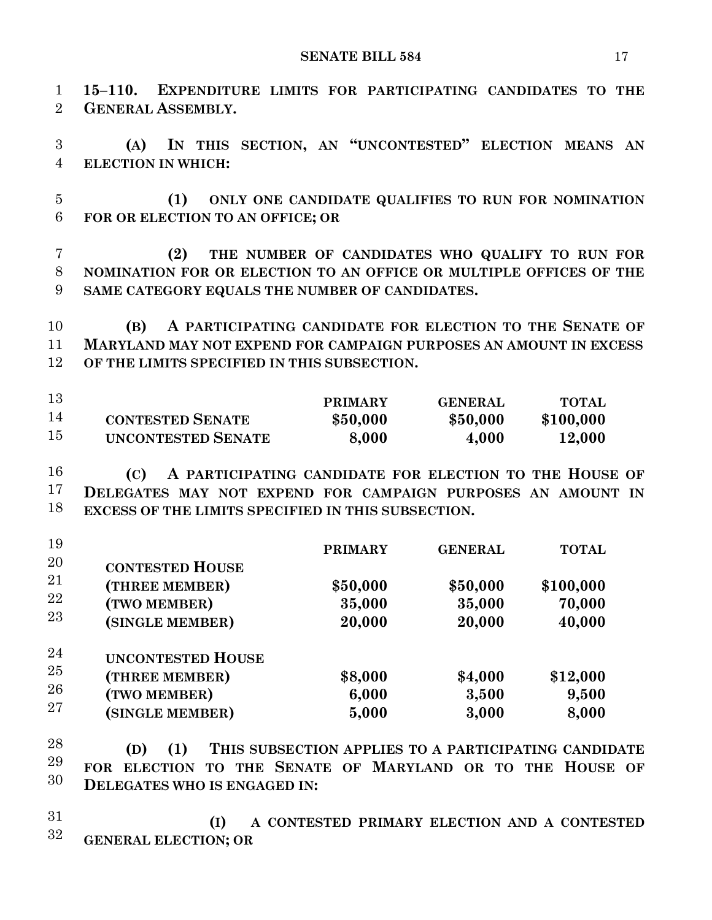**15–110. EXPENDITURE LIMITS FOR PARTICIPATING CANDIDATES TO THE GENERAL ASSEMBLY.** 

 **(A) IN THIS SECTION, AN "UNCONTESTED" ELECTION MEANS AN ELECTION IN WHICH:** 

 **(1) ONLY ONE CANDIDATE QUALIFIES TO RUN FOR NOMINATION FOR OR ELECTION TO AN OFFICE; OR** 

 **(2) THE NUMBER OF CANDIDATES WHO QUALIFY TO RUN FOR NOMINATION FOR OR ELECTION TO AN OFFICE OR MULTIPLE OFFICES OF THE SAME CATEGORY EQUALS THE NUMBER OF CANDIDATES.** 

 **(B) A PARTICIPATING CANDIDATE FOR ELECTION TO THE SENATE OF MARYLAND MAY NOT EXPEND FOR CAMPAIGN PURPOSES AN AMOUNT IN EXCESS OF THE LIMITS SPECIFIED IN THIS SUBSECTION.** 

| 13 |                         | <b>PRIMARY</b> | GENERAL  | <b>TOTAL</b> |
|----|-------------------------|----------------|----------|--------------|
| 14 | <b>CONTESTED SENATE</b> | \$50,000       | \$50,000 | \$100,000    |
| 15 | UNCONTESTED SENATE      | 8,000          | 4,000    | 12,000       |

 **(C) A PARTICIPATING CANDIDATE FOR ELECTION TO THE HOUSE OF DELEGATES MAY NOT EXPEND FOR CAMPAIGN PURPOSES AN AMOUNT IN EXCESS OF THE LIMITS SPECIFIED IN THIS SUBSECTION.** 

| 19                   |                                                                               | <b>PRIMARY</b>               | <b>GENERAL</b>               | <b>TOTAL</b>                  |
|----------------------|-------------------------------------------------------------------------------|------------------------------|------------------------------|-------------------------------|
| 20<br>21<br>22<br>23 | <b>CONTESTED HOUSE</b><br>(THREE MEMBER)<br>(TWO MEMBER)<br>(SINGLE MEMBER)   | \$50,000<br>35,000<br>20,000 | \$50,000<br>35,000<br>20,000 | \$100,000<br>70,000<br>40,000 |
| 24<br>25<br>26<br>27 | <b>UNCONTESTED HOUSE</b><br>(THREE MEMBER)<br>(TWO MEMBER)<br>(SINGLE MEMBER) | \$8,000<br>6,000<br>5,000    | \$4,000<br>3,500<br>3,000    | \$12,000<br>9,500<br>8,000    |

 **(D) (1) THIS SUBSECTION APPLIES TO A PARTICIPATING CANDIDATE FOR ELECTION TO THE SENATE OF MARYLAND OR TO THE HOUSE OF DELEGATES WHO IS ENGAGED IN:** 

 **(I) A CONTESTED PRIMARY ELECTION AND A CONTESTED GENERAL ELECTION; OR**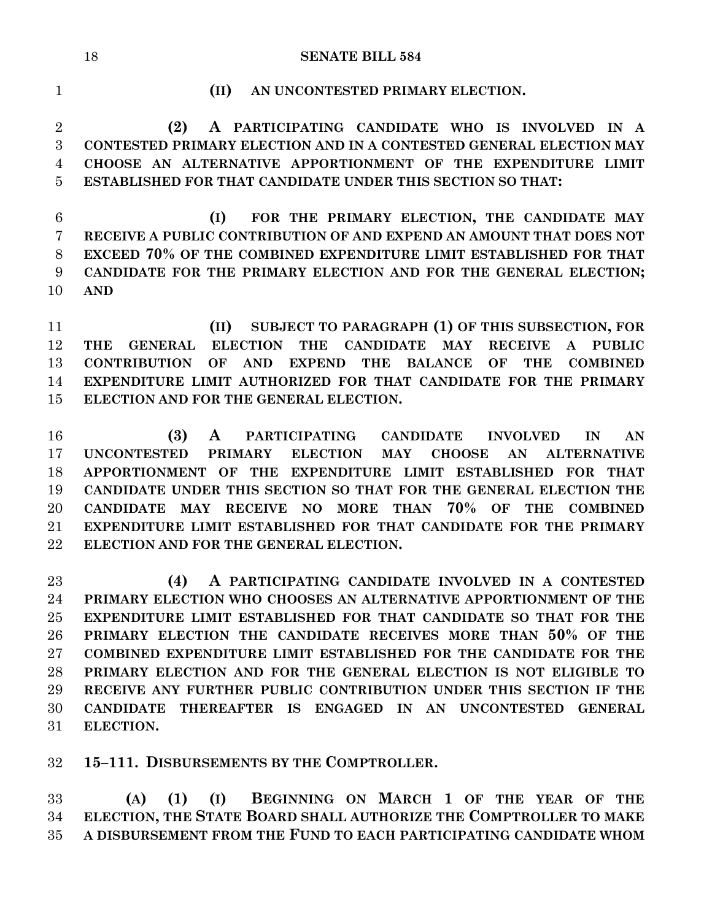**(II) AN UNCONTESTED PRIMARY ELECTION.**

 **(2) A PARTICIPATING CANDIDATE WHO IS INVOLVED IN A CONTESTED PRIMARY ELECTION AND IN A CONTESTED GENERAL ELECTION MAY CHOOSE AN ALTERNATIVE APPORTIONMENT OF THE EXPENDITURE LIMIT ESTABLISHED FOR THAT CANDIDATE UNDER THIS SECTION SO THAT:**

 **(I) FOR THE PRIMARY ELECTION, THE CANDIDATE MAY RECEIVE A PUBLIC CONTRIBUTION OF AND EXPEND AN AMOUNT THAT DOES NOT EXCEED 70% OF THE COMBINED EXPENDITURE LIMIT ESTABLISHED FOR THAT CANDIDATE FOR THE PRIMARY ELECTION AND FOR THE GENERAL ELECTION; AND**

 **(II) SUBJECT TO PARAGRAPH (1) OF THIS SUBSECTION, FOR THE GENERAL ELECTION THE CANDIDATE MAY RECEIVE A PUBLIC CONTRIBUTION OF AND EXPEND THE BALANCE OF THE COMBINED EXPENDITURE LIMIT AUTHORIZED FOR THAT CANDIDATE FOR THE PRIMARY ELECTION AND FOR THE GENERAL ELECTION.**

 **(3) A PARTICIPATING CANDIDATE INVOLVED IN AN UNCONTESTED PRIMARY ELECTION MAY CHOOSE AN ALTERNATIVE APPORTIONMENT OF THE EXPENDITURE LIMIT ESTABLISHED FOR THAT CANDIDATE UNDER THIS SECTION SO THAT FOR THE GENERAL ELECTION THE CANDIDATE MAY RECEIVE NO MORE THAN 70% OF THE COMBINED EXPENDITURE LIMIT ESTABLISHED FOR THAT CANDIDATE FOR THE PRIMARY ELECTION AND FOR THE GENERAL ELECTION.**

 **(4) A PARTICIPATING CANDIDATE INVOLVED IN A CONTESTED PRIMARY ELECTION WHO CHOOSES AN ALTERNATIVE APPORTIONMENT OF THE EXPENDITURE LIMIT ESTABLISHED FOR THAT CANDIDATE SO THAT FOR THE PRIMARY ELECTION THE CANDIDATE RECEIVES MORE THAN 50% OF THE COMBINED EXPENDITURE LIMIT ESTABLISHED FOR THE CANDIDATE FOR THE PRIMARY ELECTION AND FOR THE GENERAL ELECTION IS NOT ELIGIBLE TO RECEIVE ANY FURTHER PUBLIC CONTRIBUTION UNDER THIS SECTION IF THE CANDIDATE THEREAFTER IS ENGAGED IN AN UNCONTESTED GENERAL ELECTION.**

**15–111. DISBURSEMENTS BY THE COMPTROLLER.**

 **(A) (1) (I) BEGINNING ON MARCH 1 OF THE YEAR OF THE ELECTION, THE STATE BOARD SHALL AUTHORIZE THE COMPTROLLER TO MAKE A DISBURSEMENT FROM THE FUND TO EACH PARTICIPATING CANDIDATE WHOM**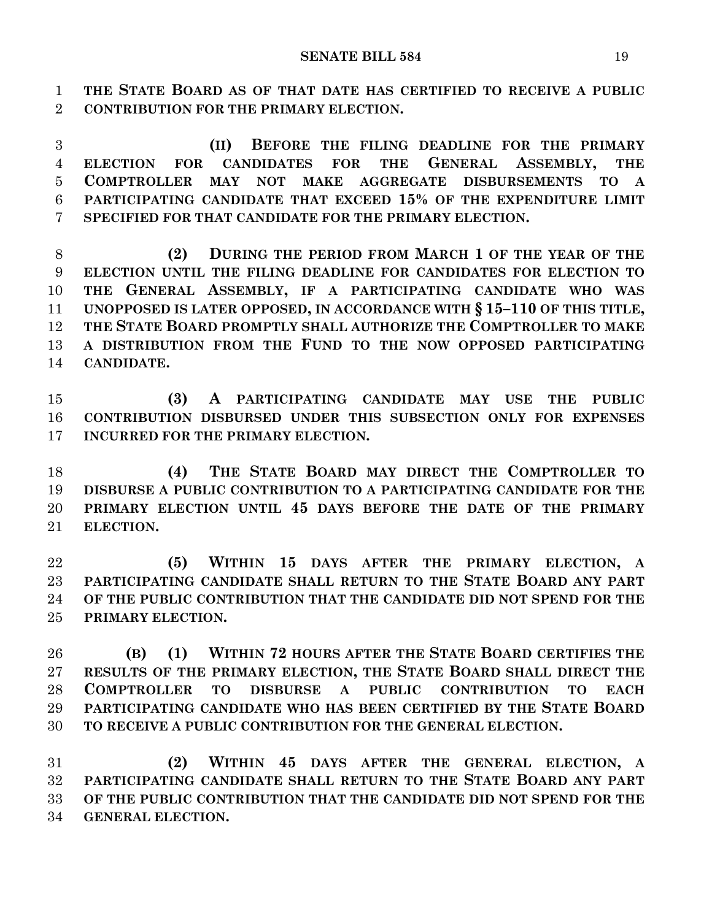**THE STATE BOARD AS OF THAT DATE HAS CERTIFIED TO RECEIVE A PUBLIC CONTRIBUTION FOR THE PRIMARY ELECTION.**

 **(II) BEFORE THE FILING DEADLINE FOR THE PRIMARY ELECTION FOR CANDIDATES FOR THE GENERAL ASSEMBLY, THE COMPTROLLER MAY NOT MAKE AGGREGATE DISBURSEMENTS TO A PARTICIPATING CANDIDATE THAT EXCEED 15% OF THE EXPENDITURE LIMIT SPECIFIED FOR THAT CANDIDATE FOR THE PRIMARY ELECTION.**

 **(2) DURING THE PERIOD FROM MARCH 1 OF THE YEAR OF THE ELECTION UNTIL THE FILING DEADLINE FOR CANDIDATES FOR ELECTION TO THE GENERAL ASSEMBLY, IF A PARTICIPATING CANDIDATE WHO WAS UNOPPOSED IS LATER OPPOSED, IN ACCORDANCE WITH § 15–110 OF THIS TITLE, THE STATE BOARD PROMPTLY SHALL AUTHORIZE THE COMPTROLLER TO MAKE A DISTRIBUTION FROM THE FUND TO THE NOW OPPOSED PARTICIPATING CANDIDATE.**

 **(3) A PARTICIPATING CANDIDATE MAY USE THE PUBLIC CONTRIBUTION DISBURSED UNDER THIS SUBSECTION ONLY FOR EXPENSES INCURRED FOR THE PRIMARY ELECTION.**

 **(4) THE STATE BOARD MAY DIRECT THE COMPTROLLER TO DISBURSE A PUBLIC CONTRIBUTION TO A PARTICIPATING CANDIDATE FOR THE PRIMARY ELECTION UNTIL 45 DAYS BEFORE THE DATE OF THE PRIMARY ELECTION.**

 **(5) WITHIN 15 DAYS AFTER THE PRIMARY ELECTION, A PARTICIPATING CANDIDATE SHALL RETURN TO THE STATE BOARD ANY PART OF THE PUBLIC CONTRIBUTION THAT THE CANDIDATE DID NOT SPEND FOR THE PRIMARY ELECTION.**

 **(B) (1) WITHIN 72 HOURS AFTER THE STATE BOARD CERTIFIES THE RESULTS OF THE PRIMARY ELECTION, THE STATE BOARD SHALL DIRECT THE COMPTROLLER TO DISBURSE A PUBLIC CONTRIBUTION TO EACH PARTICIPATING CANDIDATE WHO HAS BEEN CERTIFIED BY THE STATE BOARD TO RECEIVE A PUBLIC CONTRIBUTION FOR THE GENERAL ELECTION.**

 **(2) WITHIN 45 DAYS AFTER THE GENERAL ELECTION, A PARTICIPATING CANDIDATE SHALL RETURN TO THE STATE BOARD ANY PART OF THE PUBLIC CONTRIBUTION THAT THE CANDIDATE DID NOT SPEND FOR THE GENERAL ELECTION.**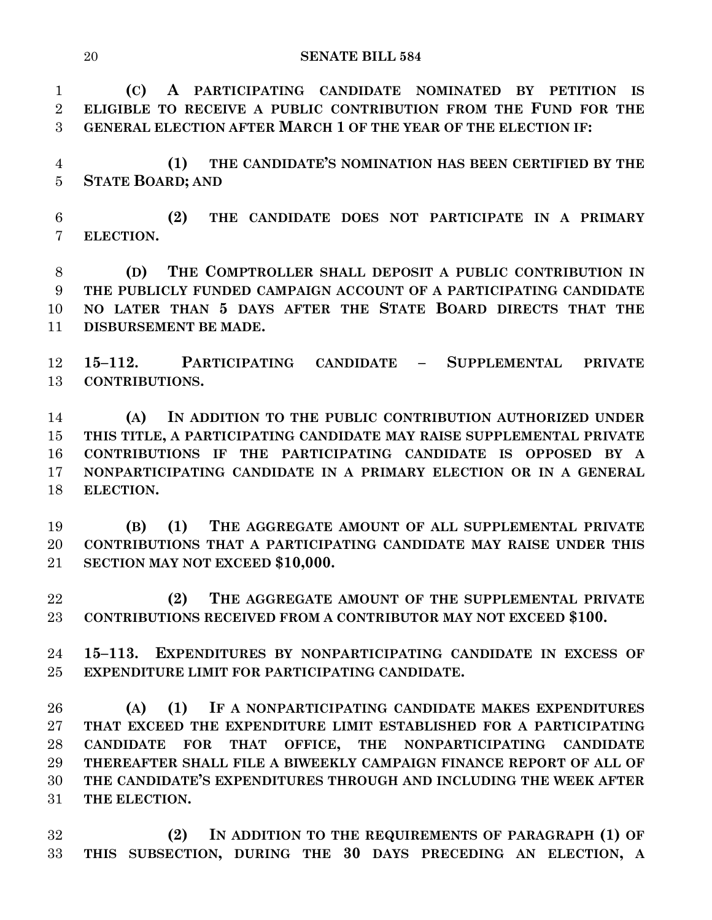**(C) A PARTICIPATING CANDIDATE NOMINATED BY PETITION IS ELIGIBLE TO RECEIVE A PUBLIC CONTRIBUTION FROM THE FUND FOR THE GENERAL ELECTION AFTER MARCH 1 OF THE YEAR OF THE ELECTION IF:**

 **(1) THE CANDIDATE'S NOMINATION HAS BEEN CERTIFIED BY THE STATE BOARD; AND**

 **(2) THE CANDIDATE DOES NOT PARTICIPATE IN A PRIMARY ELECTION.**

 **(D) THE COMPTROLLER SHALL DEPOSIT A PUBLIC CONTRIBUTION IN THE PUBLICLY FUNDED CAMPAIGN ACCOUNT OF A PARTICIPATING CANDIDATE NO LATER THAN 5 DAYS AFTER THE STATE BOARD DIRECTS THAT THE DISBURSEMENT BE MADE.**

 **15–112. PARTICIPATING CANDIDATE – SUPPLEMENTAL PRIVATE CONTRIBUTIONS.**

 **(A) IN ADDITION TO THE PUBLIC CONTRIBUTION AUTHORIZED UNDER THIS TITLE, A PARTICIPATING CANDIDATE MAY RAISE SUPPLEMENTAL PRIVATE CONTRIBUTIONS IF THE PARTICIPATING CANDIDATE IS OPPOSED BY A NONPARTICIPATING CANDIDATE IN A PRIMARY ELECTION OR IN A GENERAL ELECTION.**

 **(B) (1) THE AGGREGATE AMOUNT OF ALL SUPPLEMENTAL PRIVATE CONTRIBUTIONS THAT A PARTICIPATING CANDIDATE MAY RAISE UNDER THIS SECTION MAY NOT EXCEED \$10,000.**

 **(2) THE AGGREGATE AMOUNT OF THE SUPPLEMENTAL PRIVATE CONTRIBUTIONS RECEIVED FROM A CONTRIBUTOR MAY NOT EXCEED \$100.**

 **15–113. EXPENDITURES BY NONPARTICIPATING CANDIDATE IN EXCESS OF EXPENDITURE LIMIT FOR PARTICIPATING CANDIDATE.**

 **(A) (1) IF A NONPARTICIPATING CANDIDATE MAKES EXPENDITURES THAT EXCEED THE EXPENDITURE LIMIT ESTABLISHED FOR A PARTICIPATING CANDIDATE FOR THAT OFFICE, THE NONPARTICIPATING CANDIDATE THEREAFTER SHALL FILE A BIWEEKLY CAMPAIGN FINANCE REPORT OF ALL OF THE CANDIDATE'S EXPENDITURES THROUGH AND INCLUDING THE WEEK AFTER THE ELECTION.**

 **(2) IN ADDITION TO THE REQUIREMENTS OF PARAGRAPH (1) OF THIS SUBSECTION, DURING THE 30 DAYS PRECEDING AN ELECTION, A**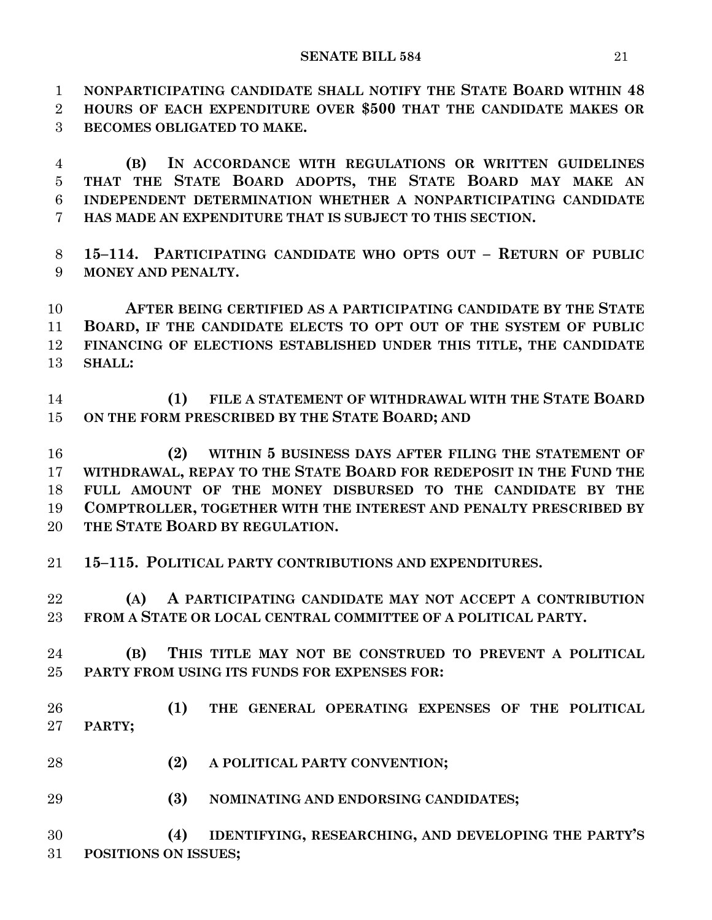**NONPARTICIPATING CANDIDATE SHALL NOTIFY THE STATE BOARD WITHIN 48 HOURS OF EACH EXPENDITURE OVER \$500 THAT THE CANDIDATE MAKES OR BECOMES OBLIGATED TO MAKE.**

 **(B) IN ACCORDANCE WITH REGULATIONS OR WRITTEN GUIDELINES THAT THE STATE BOARD ADOPTS, THE STATE BOARD MAY MAKE AN INDEPENDENT DETERMINATION WHETHER A NONPARTICIPATING CANDIDATE HAS MADE AN EXPENDITURE THAT IS SUBJECT TO THIS SECTION.**

 **15–114. PARTICIPATING CANDIDATE WHO OPTS OUT – RETURN OF PUBLIC MONEY AND PENALTY.**

 **AFTER BEING CERTIFIED AS A PARTICIPATING CANDIDATE BY THE STATE BOARD, IF THE CANDIDATE ELECTS TO OPT OUT OF THE SYSTEM OF PUBLIC FINANCING OF ELECTIONS ESTABLISHED UNDER THIS TITLE, THE CANDIDATE SHALL:**

 **(1) FILE A STATEMENT OF WITHDRAWAL WITH THE STATE BOARD ON THE FORM PRESCRIBED BY THE STATE BOARD; AND**

 **(2) WITHIN 5 BUSINESS DAYS AFTER FILING THE STATEMENT OF WITHDRAWAL, REPAY TO THE STATE BOARD FOR REDEPOSIT IN THE FUND THE FULL AMOUNT OF THE MONEY DISBURSED TO THE CANDIDATE BY THE COMPTROLLER, TOGETHER WITH THE INTEREST AND PENALTY PRESCRIBED BY THE STATE BOARD BY REGULATION.**

**15–115. POLITICAL PARTY CONTRIBUTIONS AND EXPENDITURES.**

 **(A) A PARTICIPATING CANDIDATE MAY NOT ACCEPT A CONTRIBUTION FROM A STATE OR LOCAL CENTRAL COMMITTEE OF A POLITICAL PARTY.**

- **(B) THIS TITLE MAY NOT BE CONSTRUED TO PREVENT A POLITICAL PARTY FROM USING ITS FUNDS FOR EXPENSES FOR:**
- **(1) THE GENERAL OPERATING EXPENSES OF THE POLITICAL PARTY;**
- **(2) A POLITICAL PARTY CONVENTION;**
- **(3) NOMINATING AND ENDORSING CANDIDATES;**

 **(4) IDENTIFYING, RESEARCHING, AND DEVELOPING THE PARTY'S POSITIONS ON ISSUES;**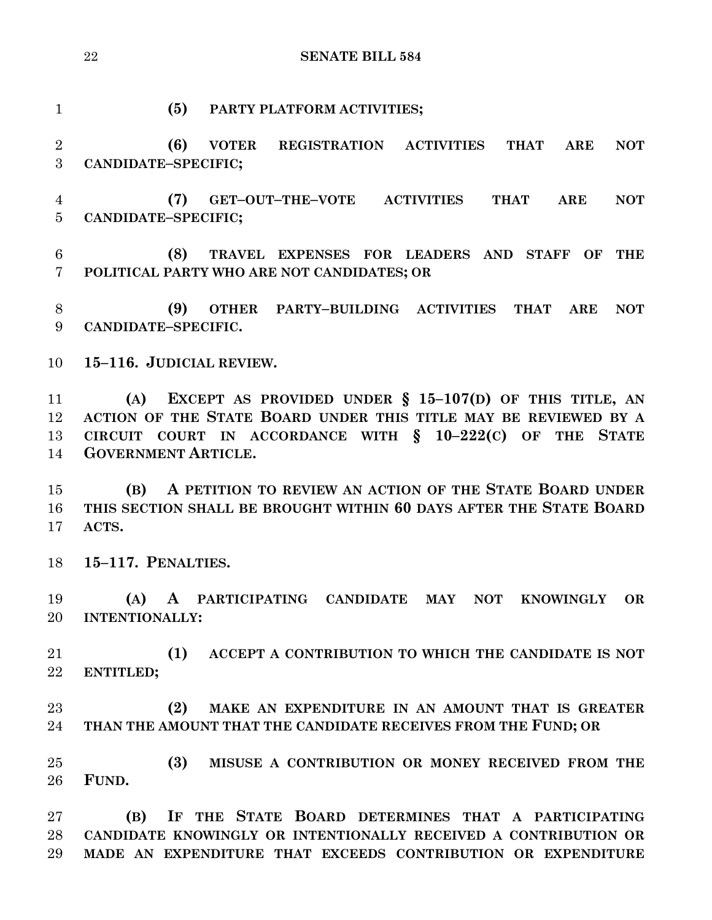**(5) PARTY PLATFORM ACTIVITIES; (6) VOTER REGISTRATION ACTIVITIES THAT ARE NOT CANDIDATE–SPECIFIC; (7) GET–OUT–THE–VOTE ACTIVITIES THAT ARE NOT CANDIDATE–SPECIFIC; (8) TRAVEL EXPENSES FOR LEADERS AND STAFF OF THE POLITICAL PARTY WHO ARE NOT CANDIDATES; OR (9) OTHER PARTY–BUILDING ACTIVITIES THAT ARE NOT CANDIDATE–SPECIFIC. 15–116. JUDICIAL REVIEW. (A) EXCEPT AS PROVIDED UNDER § 15–107(D) OF THIS TITLE, AN ACTION OF THE STATE BOARD UNDER THIS TITLE MAY BE REVIEWED BY A CIRCUIT COURT IN ACCORDANCE WITH § 10–222(C) OF THE STATE GOVERNMENT ARTICLE. (B) A PETITION TO REVIEW AN ACTION OF THE STATE BOARD UNDER THIS SECTION SHALL BE BROUGHT WITHIN 60 DAYS AFTER THE STATE BOARD ACTS. 15–117. PENALTIES. (A) A PARTICIPATING CANDIDATE MAY NOT KNOWINGLY OR INTENTIONALLY: (1) ACCEPT A CONTRIBUTION TO WHICH THE CANDIDATE IS NOT ENTITLED;**

 **(2) MAKE AN EXPENDITURE IN AN AMOUNT THAT IS GREATER THAN THE AMOUNT THAT THE CANDIDATE RECEIVES FROM THE FUND; OR**

 **(3) MISUSE A CONTRIBUTION OR MONEY RECEIVED FROM THE FUND.**

 **(B) IF THE STATE BOARD DETERMINES THAT A PARTICIPATING CANDIDATE KNOWINGLY OR INTENTIONALLY RECEIVED A CONTRIBUTION OR MADE AN EXPENDITURE THAT EXCEEDS CONTRIBUTION OR EXPENDITURE**

## **SENATE BILL 584**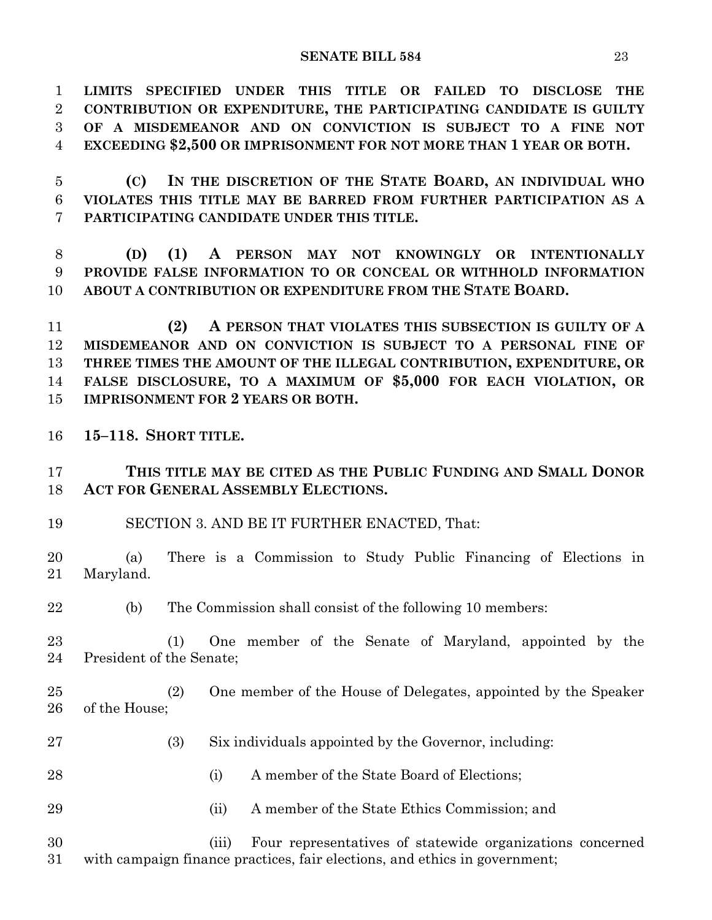**LIMITS SPECIFIED UNDER THIS TITLE OR FAILED TO DISCLOSE THE CONTRIBUTION OR EXPENDITURE, THE PARTICIPATING CANDIDATE IS GUILTY OF A MISDEMEANOR AND ON CONVICTION IS SUBJECT TO A FINE NOT EXCEEDING \$2,500 OR IMPRISONMENT FOR NOT MORE THAN 1 YEAR OR BOTH.**

 **(C) IN THE DISCRETION OF THE STATE BOARD, AN INDIVIDUAL WHO VIOLATES THIS TITLE MAY BE BARRED FROM FURTHER PARTICIPATION AS A PARTICIPATING CANDIDATE UNDER THIS TITLE.**

 **(D) (1) A PERSON MAY NOT KNOWINGLY OR INTENTIONALLY PROVIDE FALSE INFORMATION TO OR CONCEAL OR WITHHOLD INFORMATION ABOUT A CONTRIBUTION OR EXPENDITURE FROM THE STATE BOARD.**

 **(2) A PERSON THAT VIOLATES THIS SUBSECTION IS GUILTY OF A MISDEMEANOR AND ON CONVICTION IS SUBJECT TO A PERSONAL FINE OF THREE TIMES THE AMOUNT OF THE ILLEGAL CONTRIBUTION, EXPENDITURE, OR FALSE DISCLOSURE, TO A MAXIMUM OF \$5,000 FOR EACH VIOLATION, OR IMPRISONMENT FOR 2 YEARS OR BOTH.**

**15–118. SHORT TITLE.**

 **THIS TITLE MAY BE CITED AS THE PUBLIC FUNDING AND SMALL DONOR ACT FOR GENERAL ASSEMBLY ELECTIONS.**

SECTION 3. AND BE IT FURTHER ENACTED, That:

 (a) There is a Commission to Study Public Financing of Elections in Maryland.

(b) The Commission shall consist of the following 10 members:

 (1) One member of the Senate of Maryland, appointed by the President of the Senate;

- (2) One member of the House of Delegates, appointed by the Speaker of the House;
- (3) Six individuals appointed by the Governor, including:
- 28 (i) A member of the State Board of Elections:
- (ii) A member of the State Ethics Commission; and

 (iii) Four representatives of statewide organizations concerned with campaign finance practices, fair elections, and ethics in government;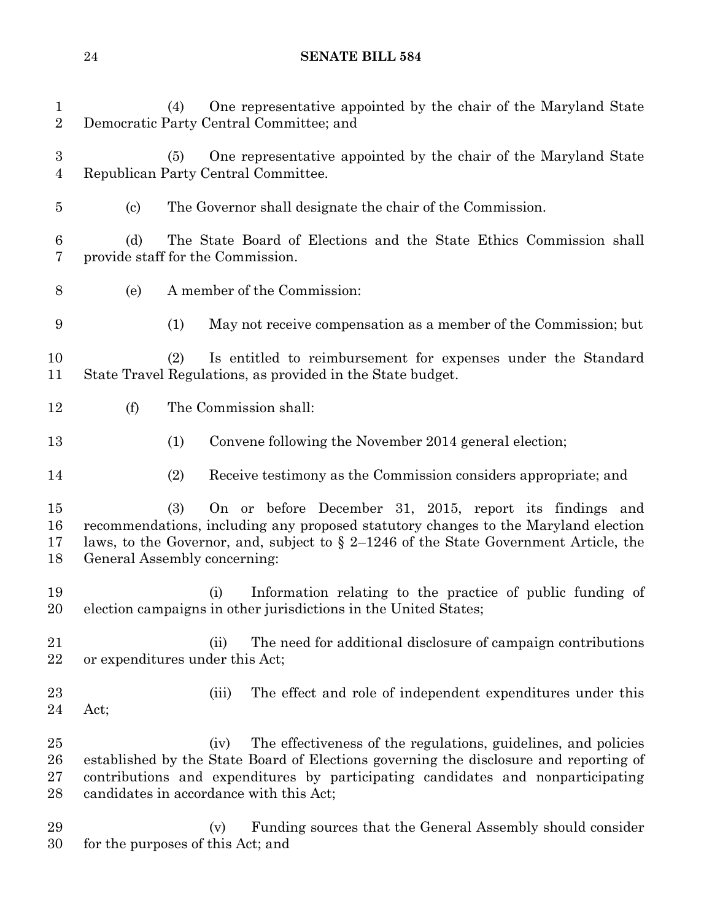| $\mathbf{1}$<br>$\sqrt{2}$         | One representative appointed by the chair of the Maryland State<br>(4)<br>Democratic Party Central Committee; and                                                                                                                                                               |                                                                    |  |  |  |
|------------------------------------|---------------------------------------------------------------------------------------------------------------------------------------------------------------------------------------------------------------------------------------------------------------------------------|--------------------------------------------------------------------|--|--|--|
| $\boldsymbol{3}$<br>$\overline{4}$ | One representative appointed by the chair of the Maryland State<br>(5)<br>Republican Party Central Committee.                                                                                                                                                                   |                                                                    |  |  |  |
| $\overline{5}$                     | The Governor shall designate the chair of the Commission.<br>$\left( \text{c}\right)$                                                                                                                                                                                           |                                                                    |  |  |  |
| $\,6\,$<br>7                       | (d)<br>provide staff for the Commission.                                                                                                                                                                                                                                        | The State Board of Elections and the State Ethics Commission shall |  |  |  |
| $8\,$                              | A member of the Commission:<br>(e)                                                                                                                                                                                                                                              |                                                                    |  |  |  |
| 9                                  | May not receive compensation as a member of the Commission; but<br>(1)                                                                                                                                                                                                          |                                                                    |  |  |  |
| 10<br>11                           | Is entitled to reimbursement for expenses under the Standard<br>(2)<br>State Travel Regulations, as provided in the State budget.                                                                                                                                               |                                                                    |  |  |  |
| 12                                 | (f)<br>The Commission shall:                                                                                                                                                                                                                                                    |                                                                    |  |  |  |
| 13                                 | (1)<br>Convene following the November 2014 general election;                                                                                                                                                                                                                    |                                                                    |  |  |  |
| 14                                 | Receive testimony as the Commission considers appropriate; and<br>(2)                                                                                                                                                                                                           |                                                                    |  |  |  |
| 15<br>16<br>17<br>18               | On or before December 31, 2015, report its findings and<br>(3)<br>recommendations, including any proposed statutory changes to the Maryland election<br>laws, to the Governor, and, subject to $\S 2-1246$ of the State Government Article, the<br>General Assembly concerning: |                                                                    |  |  |  |
| 19<br>20                           | (i)<br>election campaigns in other jurisdictions in the United States;                                                                                                                                                                                                          | Information relating to the practice of public funding of          |  |  |  |
| 21<br>22                           | (ii)<br>or expenditures under this Act;                                                                                                                                                                                                                                         | The need for additional disclosure of campaign contributions       |  |  |  |
| 23<br>24                           | (iii)<br>Act;                                                                                                                                                                                                                                                                   | The effect and role of independent expenditures under this         |  |  |  |
| 25<br>26<br>27<br>28               | (iv)<br>established by the State Board of Elections governing the disclosure and reporting of<br>contributions and expenditures by participating candidates and nonparticipating<br>candidates in accordance with this Act;                                                     | The effectiveness of the regulations, guidelines, and policies     |  |  |  |
| 29<br>30                           | (v)<br>for the purposes of this Act; and                                                                                                                                                                                                                                        | Funding sources that the General Assembly should consider          |  |  |  |